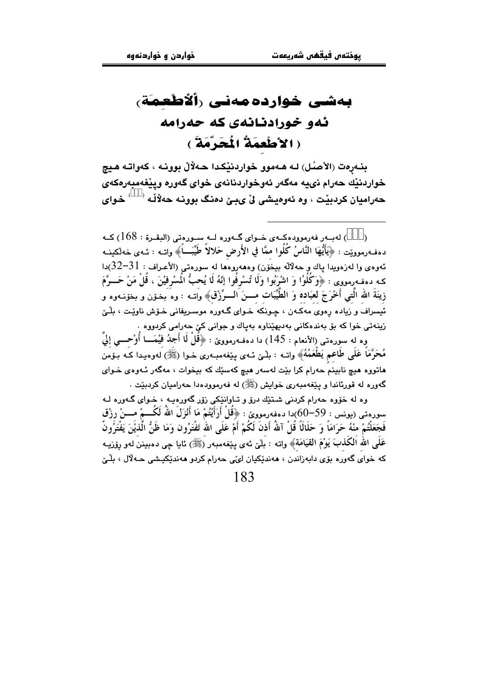# بەشى خواردەمەنىي رألأطعمة، ئەو خورادنانەي كە حەرامە (الأطْعِمَةُ الْمُحَرَّمَةَ )

بنـهرهت (الأصـُـل) لـه هـهموو خواردنێكـدا حـهلالٌ بوونـه ، كهواتـه هـيج خواردنيّك حەرام نىيه مەگەر ئەوخواردنانەي خواي گەورە وييْغەمبەرەكەي حەراميان كردېيْت ، وه ئەوەيشى لىْ يېنى دەنگ بوونـه حەلاّلـه <sup>(333)</sup> خـواي

) لەب ر فەرموردەكــەي خــواي گــەررە لــە ســورەتى (البقــرة : 168) كــە  $\lambda$ دهفهرموويّت : ﴿يَأَيُّهَا النَّاسُ كُلُوا ممَّا في الأَرض حَلالاً طَيِّبَـــأَ﴾ واتــه : ئــهى خهلكينــه ئەوەي وا لەزەويدا پاك و حەلالە بيخُوْن) وەھەروەھا لە سورەتى (الأعراف : 31–32)دا كـه دهفـهرمووى : ﴿وَكُلُوا وَ اشْرَبُوا وَلَا تُسْرِفُوا إِنّهُ لَا يُحبُّ الْمسْرِفيْنَ ، قُلْ مَنْ حَـــرَّمَ زِينَةَ الله الَّتِي أَخْرَجَ لعبَاده وَ الطُّيِّبَات مــــنَ الــــرِّزْق﴾ وَاتــه : وه َبـخـوّن و بخوّنـهوه و ئیسراف و زیاده رهوی مەکَـەن ، چـونکَه ۡ خـوای گـەورەُ موسىریفانى خـۆش ناوێت ، بلّـێ .<br>زینهتی خوا که بۆ بەندەکانی بەدیهێناوه بەپاك و جوانی کێ حەرامی کردووه .

وه له سورهتي (الأنعام : 145) دا دهفـهرموويّ : ﴿قُلْ لَا أَجِدُ فَيْمَــا أُوْحـــي إِلَيَّ مُحَرَّمَاً عَلَى طَاعِمٍ يَطْعَمُهُ﴾ واتــه : بلّـيٰ ئــهي بيّغهمبــهري خـوا (ﷺ) لهوهبـدا كـه بـوّمن هاتووه هيچ نابينمَ حەرام کرا بێت لەسەر هيچ کەسێك کە بيخوات ، مەگەر ئـەوەي خـواي گەورە لە قورئاندا و يېغەمبەرى خواپش (ﷺ) لە فەرموودەدا جەراميان كردىيت .

وه له خۆوه حەرام كردنى شـتـێك درۆ و تـاوانێكى زۆر گەورەبـه ، خـواي گـەورە لـه سورەتىي (يونس : 59–60)دا دەفەرمووىّ : ﴿قُلْ أَرَأَيْتُمْ مَا أَنْزَلَ اللَّهُ لَكُـــمْ مـــنْ رزْق فَجَعَلْتُمْ منْهُ حَرَامَاً وَ حَلَالًا قُلْ آللهُ أَذنَ لَكُمْ أَمْ عَلَى اللهِ تَفْتَرُون وَمَا ظَنُّ الَّذيْنَ يَفْتَرُونَ عَلَى الله اَلكُذبَ يَوْمَ القيَامَةَ﴾ واته : بَلآي ئهى يێغهمبهر (ﷺ) ئايا جي دهبيننَ لهو رۆزيـه .<br>که خواي گهوره بۆي دابهزاندن ، هەندێکیان ليمّي حەرام کردو هەندێکیشي حـهلال ، بلّـيّ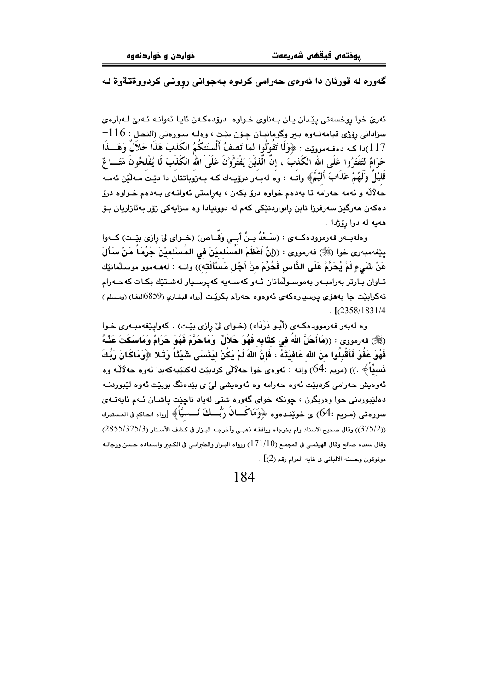#### گەورە لە قورئان دا ئەوەي حەرامى كردوە بەجوانى روونى كردووةتـةوة لـە

ئەرى خوا روخسەتى يێدان يان بەناوى خواوە لىرۆدەكەن ئايا ئەوانە ئەبىّ لەبارەى  $-116$  : سزاداني رۆژي قيامەتــەوە بــير وگومانيــان چـۆن بێت ، وەلــه سـورەتى (النحـل 117)دا كـه دهفـهموويّت : ﴿وَلَا تَقُوْلُوا لَمَا تَصفُ أَلْسنَتكُمُ الكَذبَ هَذَا حَلاَلٌ وَهَـــذَا حَرَامٌ لتَفْتَرُوا عَلَى الله الكَذبَ ، إنَّ الَّذيْنَ يَفْتَرُونَ عَلَىَ اللهُ الكَذَبَ لَا يُفْلحُونَ مَتَــا عٌ قَلَيْلٌ وَلَهُمْ عَذَابٌ أَلَيْمٌ﴾ واتبه : وه لهبـهر درۆپـهك كـه بـهزوباتتان دا دێت مـهلّين ئهمـه حەلاله و ئەمە حەرامە تا بەدەم خواوە درق بكەن ، بەراستى ئەوانىەي بـەدەم خـواوە درق دهکەن ھەرگیز سەرفرزا نابن رابواردنێکی کەم لە دوونیادا وە سزایەکی زۆر بەئازاریان بـۆ ههيه له دوا رۆژدا .

وهلهبـهر فهرموودهكـهى : (سَـعْدُ بـنُ أَبــي وَقَّــاص) (خـواى ليّ رِازى بِيِّـت) كـهوا بِيّفهمبهرى خوا (ﷺ) فهرمووى : ((إنَّ أَعْظَمَ المَسْلِمِيْنَ في المَسْلِمِيْنَ جُرُمَا مَنْ سَأَلَ عَنْ شَيءٍ لَمْ يُحَرِّمْ عَلَى النَّاسِ فَحُرِّمَ منْ أَجْلِ مَسْأَلَتَه)) واتـه : لهڡـهموو موسـلمانيّك تـاوان بـارتر بەرامبـەر بەموسـوڵمانان ئـەو كەسـەيە كەيرسـيار لەشـتێك بكـات كەحـەرام نهکرابێت جا بههۆی پرسپارهکهی ئەوەوە حەرام بکرێت [رواه البخاری (859)البغا) (ومسلم )  $L$ [ $(2358/1831/4)$ ]

وه لهبهر فهرموودهكهى (أَبُو دَرْدَاء) (خواى ليِّ رازى بيِّت) . كهواييِّغهمبهرى خوا (ﷺ) فەرمورى : ((مَاأَحَلَّ اللهُ في كتَابِه فَهُوَ حَلاَلٌ ۚ وَمَاحَرَّمَ فَهُوَ حَرَامٌ وَمَاسَكَتَ عَذْهُ فَهُوَ عَفُوَ فَأَقْبِلُوا مِنَ الله عَافِيَتَهُ ، فَإِنَّ اللهَ لَمْ يَكُنْ لِيَذْسَى شَيْئًا ۚ وَتَبلا ﴿وَمَاكَانَ رَبُّكَ نَسبٍّاً﴾ .)) (مريم :64) واته : ئەوەي خوا جەلالى كردېٽت لەكتٽپەكەبدا ئەوە جەلالّـە وە ئەوەبش جەرامى كردىيىت ئەوە جەرامە وە ئەوەبشى لى' ي يېدەنگ بويتت ئەوە لتيوردنــە دهلٽيوردني خوا وهريگرن ، چونکه خواي گەوره شتي لەياد ناچێت پاشـان ئـهم ئايەتــهي سورِهتي (مريم :64) ي خويندهوه ﴿وَمَاكَــانَ رَبُّــكَ نَــسيَّاً﴾ [رواه الحاكم في المستدرك (375/2)) وقال صحيح الاسناد ولم يخرجاه ووافقه ذهبي وآخرجـه البـزار في كشف الأسـتار (3855/325/3) وقال سنده صالح وقال الهيثمـي في المجمـع (171/10) ورواه البـزار والطـرانـي في الكـبـر واسـناده حـسن ورجالـه موثوقون وحسنه الالباني في غايه المرام رقم (2)] .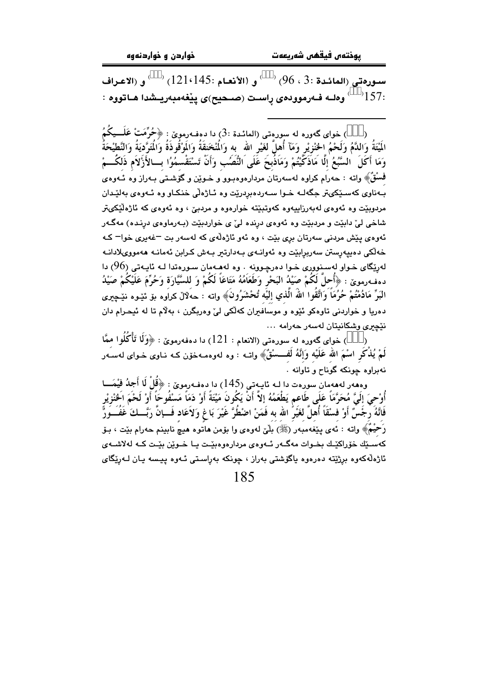سورهتي (المائدة :3 ، 96) <sup>(333)</sup> و (الأنعـام :121،145) <sup>(333)</sup> و (الاعـراف : <sup>333</sup>75<sup>/ د333</sup> وەلــه فــەرموودەی راسـت (صــحیح)ی پێغەمبەريــشدا هــاتووه :

) خوای گەورە لە سورەتى (المائىدة :3) دا دەفـەرموێ : ﴿حُرِّمَتْ عَلَـــيكُمُ الَمِيَّةُ وَاللَّمُ وَلَحْمُ الْحَنْزِيْرِ وَمَآ أُهلَّ لَغَيْرِ الله ۚ به وَالْمُخْنِقَةُ وَالْمَوْقُوذَةُ وَالْمَتَرَّدِيَةُ وَالنَّطيْحَةُ وَمَا أَكَلَ ۚ السَّبُعُ ٰإِلَّا مَاذَكَّيُّتُمْ وَمَاذِّبَحَ غَلَى النُّصَبِ وَأَنَّ تَسْتَقْسمُوُا بسالأَزْلاَم ذَلكُسمْ فسُقٌ﴾ واته : حەرام كراوه لەسەرتان مردارەوەبىوو و خىويْن و گۈشىتى بـەراز وە ئـەوەي بـهناوي کهسـێکيټر جگهلـه خـوا سـهردهبردرێت وه ئـاژهڵي خنکـاو وه ئـهوهي بهلێـدان مردوبێت وه ئەوەى لەبەرزاييەوە كەوتبێتە خوارەوە و مردبێ ، وە ئەوەى كە ئاژەڵێكىتر .<br>شاخي لي دابيٽ و مردبيٽ وه ئهوهي درنده ليٰ ي خواردبيٽ (بـهرماوهي درنـده) مهگـهر .<br>ئەوەي يێش مردنى سەرتان برى بێت ، وە ئەو ئاژەڵەي كە لەسەر بت <sup>ــ</sup>غەيرى خوا<sup>ــ</sup> كـە خەلكى دەپيەرستن سەربرابێت وە ئەوانـەي بـەدارتىر بـەش كـرابن ئەمانـە ھەمووىلادانـە لەرێِگای خـواو لەسـنووری خـوا دەرچـوونە . وە لەھـەمان سـورەتدا لــە ئاپـەتى (96) دا دهفهرموين : ﴿أَحَلَّ لَكُمْ صَيْدُ الْبَحْرِ وَطَعَاَمُهُ مَتَاعَاً لَكُمْ وَ للسَّيَّارَةِ وَحُرِّمَ عَلَيْكُمْ صَيْدُ البَرِّ مَادُمْتُمْ حُرُمَاً وَاتَّقُوا اللّهَ الَّذي إليُّه تُحْشَرُونَ﴾ واته : حهُلالٌ كراَوه بوْ ئێوه نێچيرى دهریا و خواردنی تاوهکو ئێوه و موسَافَیران کهلکی لیّ وهربگرن ، بهلام تا له ئیحـرام دان نٽِچري وشکانيتان لهسهر حهرامه ...

) خواي گەورە لە سورەتى (الانعام : 121) دا دەڧەرموێ : ﴿وَلَا تَأْكُلُو! ممَّا لَمْ يُذْكُرِ اسْمَ الله عَلَيْه وَإِنَّهُ لَفَــسْقٌ﴾ واتبه : وه لهوهمبهخوْن كبه نباوي خبواي لهسبهر نهبراوه حونکه گوناح و تاوانه .

وههەر لەھەمان سورەت دا لــه ئايــەتى (145) دا دەڧـەرموێ : ﴿قُلْ لَا أَجِدُ فَيْمَـــا أُوْحِيَ إِلَيَّ مُحَرَّمَاً عَلَى طَاعم يَطْعَمُهُ إلاَّ أَنْ يَكُونَ مَيْتَةً أَوْ دَمَاً مَسْفُوحَاً أَوْ لَحْمَ الخنْزيْر فَانَّهُ رَجَّسٌ أَوْ فسْقَاً أُهلٌ لغَيْرً الله به فَمَنْ اضْطُرَّ غَيْرَ بَا غ وَلاَعَاد فَـــإنَّ رَبَّـــكَ غَفُـــوَرًّ رَحَيْمٌ﴾ واته : نُهى بيجْعُهمبُهر (ﷺ) بِلَيْ لهوهي وا بوْمن هاتُوه هيچٌ نابينم حهرام بيّت ، بـوْ کهسـێك خۆراکٽِـك بخـوات مهگـهر ئـهوهي مردارهوهيٽـت بـا خـوٽِن بٽـت کـه لهلاشـهي ئاژەلەكەوە برژيتە دەرەوە ياگۆشتى بەراز ، چونكە بەراستى ئـەوە ييـسە يـان لـەريگاي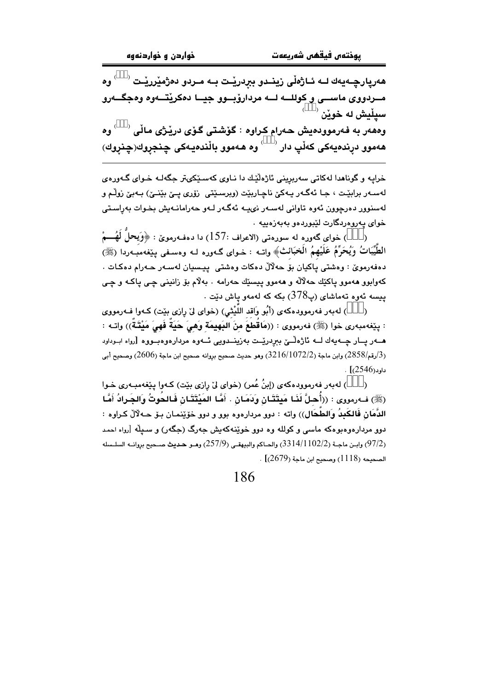هەرپارچـەيەك لــه ئــاژەڵى زينــدو بېردريْـت بــه مــردو دەژمێررێـت <sup>(333)</sup> وە مــردووی ماســـی و کوللـــه لـــه مردارۆبـــوو جیـــا دەکریقـــهوه وهجگـــهرو  $^{(333)}$  سپٽيش له خوٽن وههەر به فەرموودەيش حەرام كراوە : گۆشتى گۆى دريْژى ماڵى <sup>(333)</sup> وە .<br>هەموو درندەيەكى كەڵپ دار <sup>(333)</sup> وە ھەموو بالّندەيـەكى چنجروك(چنروك)

خرایه و گوناهدا لهکاتی سهریرینی ئاژهڵێك دا نـاوی كهسـێكىتر جگهلـه خـوای گـهورهى لەسـەر برابێـت ، جـا ئەگـەر يـەكێ ناچـاربێت (ويرسـێتى زۆرى يـێ بێنـێ) بـەبێ زوڵـم و لەسنوور دەرچوون ئەوە تاوانى لەسـەر نىيـە ئەگـەر لـەو حەرامانـەيش بخـوات بەراسـتى خوای په روه رنگارت لٽيوردهو په په زهينه ٠

) خواي گەورە لە سورەتى (الاعراف :157) دا دەڧەرموێ : ﴿وَيحلُّ لَهُـــمْ الطَّيِّبَاتُ وَيُحَرِّمُ عَلَيْهِمُ الْخِبَائِثِ﴾ واتــه : خــواي گــهوره لــه وهســفي يـێغهمبــهردا (ﷺ) دەفەرموێ : وەشتى پاكيان بۆ حەلالٌ دەكات وەشتى پيسيان لەسـەر حـەرام دەكـات . کهوابوو ههموو پاکێك حهلاله و ههموو پيسێك حهرامه ٠ بهلام بۆ زانينى چى پاکـه و چـى  $\,$ پیسه ئەوه تەماشای (پ $378$ ) بکە کە لەمەو پاش دێت

) لهبهر فهرموودهکهی (أَبُو وَاقد اللَّيْثَى) (خوای ليّ رِازی بيّت) کـهوا فـهرمووی  $\lambda$ : بِيّفهمبهري خوا (ﷺ) فهرمووي : ((مَاقُطعَ منَ البَهيمَة وهيَ حَيَةً فَهيَ مَيْتَـةٌ)) واتـه : هــهر پــار چــهيهك لــه ئاژهڵــێ بېردرێــت بهزینــدویی ئــهوه مردارهوهبــووه [رواه ابــوداود (3/رقم/2858) وابن ماجة (3216/1072/2) وهو حديث صحيح بروانه صحيح ابن ماجة (2606) وصحيح أبي  $\cdot$  [(2546)

) لهبهر فهرموودهكهي (إِبنُ عُمرٍ) (خواي ليِّ رازي بيّتٍ) كـهوا بييّفهمبـهري خـوا  $\lambda$ (ﷺ) ف1رمووي : ((أُحلَّ لَذَا مَبتَتَـانِ وَدَمَـانِ . أَمَّا المَنْتَتَـانِ فَـالحُوتُ وَالحَـرادُ أَمَّا الدَّمَانِ فَالكَبِدُ وَالطَّحَالِ)) واته : دوو مردارهوه بوو و دوو خۆێنمـان بـۆ ھـﻪلآلٚ كـراوه : دوو مردارهوهبوهکه ماسی و کولله وه دوو خوینهکهیش جهرگ (جگهر) و سبیله ارواه احمد (97/2) وابـن ماجـة (3314/1102/2) والحـاكم والبيهقـي (257/9) وهـو حـديث صـحيح بروانــه السلـسله  $(2679)$  الصحيحة (1118) وصحيح ابن ماجة (2679)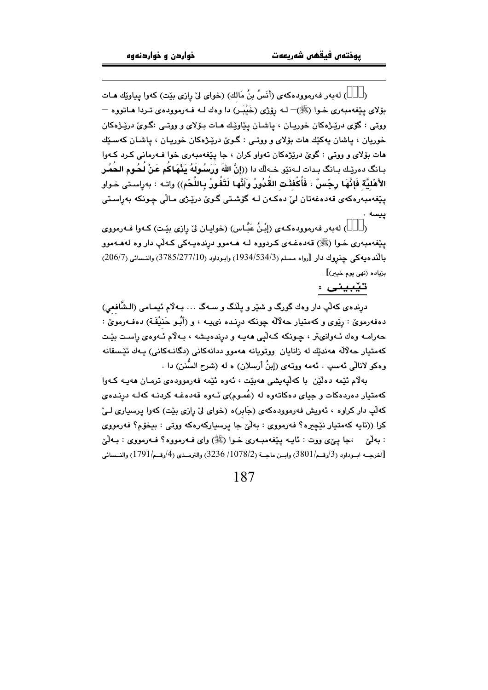) لهبهر فهرموودهكهي (أنَسُ بنُ مَالك) (خواي ليّ رازي بيّت) كهوا يياويّك هـات  $\lambda$ بۆلای يێغەمبەری خـوا (ﷺ)– لـه رۆژی (خَيْبَر) دا وەك لـه فـهرموودەی تـردا هـاتووه – ووتي : گۆي درێـژهکان خوړيـان ، پاشـان پێاوێـك هـات پـۆلاي و ووتـي :گـويّ درێـژهکان خوريان ، پاشان پهکێك هات بۆلای و ووتـی : گـویّ درێـژهکان خوريـان ، پاشـان کهسـڏك هات پۆلاي و ووټي : گويُ دريْژوکان تهواو کران ، چا پيٽغهمبهري خوا فيهرماني کرد کيهوا بـانگ دەرێـك بـانگ بـدات لــەنێو خــەلّك دا ((إنَّ اللهَ وَرَسُـولَهُ يَذْهَـاكُم عَنْ لُـحُـوم الـحُمُـر الأَهْلِيَّة فَإِنَّهَا رِحْسٍّ ، فَأَكْفئَت القُدُورُ وَأَنَّها لَتَفُورُ بِاللَّحْمِ)) وإنه : بهراستي خواو يٽغەمبەرەكەي قەدەغەتان لے' دەكەن لـە گۆشىتى گـوێ درێـژى مـالّى چـونكە پەراسىتى ييسه .

) لهبهر فهرموودهکهی (إِبْنُ عَبَّاس) (خوایان لیْ رِازی بیِّت) کـهوا فـهرمووی  $\lambda$ يٽِغەمبەرى خـوا (ﷺ) قەدەغـەي كـردوړە لـه ھـەموو درندەپـەكى كـەڵپ دار وە لەھـەموو بالنَّذه به كي حنروك دار [رواه مسلم (3/1/534/534) وابوداود (3785/277/10) والنسائي (206/7) بزياده (نهي يوم خيبر)] .

#### تێبيني :

درنده ي كه لْپ دار وهك گورگ و شنير و يلْنگ و سـهگ … بـه لام ئيمـامي (الـشَّافعي) دهفهرمویٌ : رِیْوی و کهمتیار حهلاٌلَه چونکه درِنده نیپیه ، و (أَبُـو حَنيْفَـة) دهفـهرمویؒ : حەرامـه وەك ئـەوانىتر ، چـونكه كـەلىي ھەيــە و درندەيـشە ، بـەلام ئــەوەي راسـت بيّـت كەمتيار حەلالە ھەندىك لە زانايان ووتوپانە ھەموو ددانەكانى (دگانـەكانى) يـەك ئێسقانە وهكو لانالِّي ئەسپ . ئەمە ووتەي (إبنُ أرسلان) ە لە (شرح السُّنن) دا .

بهلام ئُٽِمه دهلُٽِن با کهلُّيهيشي ههبِٽت ، ئهوه ئَٽِمه فهرموودهي ترمـان ههيـه کـهوا کهمتیار دهردهکات و جیای دهکاتهوه له (عُمـوم)ی ئـهوه قهدهغـه کردنـه کهلـه درنـدهی که لّپ دار کراوه ، ئەويش فەرموودەکەي (جَابر)ه (خواي ليّ رازى بيّت) کەوا پرسپارى لـيّ کرا ((ئايه کهمتيار نێڇيره؟ فهرمووي : بهڵێ جا پرسيارکهرهکه ووتي : بيخوّم؟ فهرمووي : بهلَّيۡ ،جا ییٌی ووت : نایـه یێغهمبـهری خــوا (ﷺ) وای فــهرمووه؟ فــهرمووی : بــهلَّیۡ [اخرجــه ابــوداود (3/رقــم/3801) وابــن ماجــة (1078/2/ 3236) والترمــذي (4/رقــم/1791) والنــسائي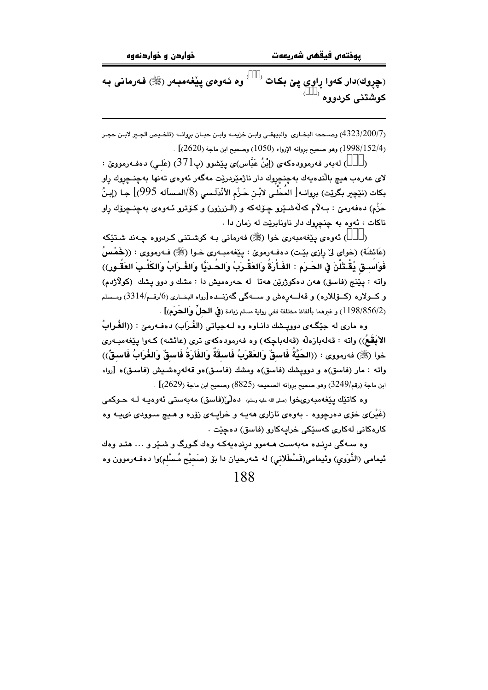(چِروك)دار كەوا ړاوى پێ بكات <sup>(333)</sup> وە ئـەوەى پێغەمبـەر (ﷺ) فـەرمانى بـە کوشتنی کردووه <sup>333)</sup>

ر4323/200/7) وصــحمه البخـاري والبيهقـي وابـن خزيمـه وابـن حبــان بروانــه (تلخـيص الجــر لابـن حجـر . [1998/152/4]) وهو صحيح بروانه الإرواء (1050) وصحيح ابن ماجة (2620)]

) لەبەر فەرموودەكەي (إِبْنُ عَبَّاس)ى يِيْشوو (پ $(371$ ) (عَلـى) دەفـەرمووێ :  $\mathcal{E}$ لای عەرەب <mark>ھی</mark>چ باڵندەيەك بەچنچڕوك دار ناژمێردرێت مەگەر ئەوەی تەنھا بەچنـچڕوك ڕاو بكات (نێڃير بگرێت) بروانـه[ المُحَلّـى لابْـن حَـزْم الأنْدلَـسى (8/المـسأله 995)] جـا (إبـنُ حَزْمِ) دەفەرمێ : بـﻪلاّم كەڵەشـێرو چۆلەكە و (الـزرزور) و كـۆترو ئـﻪوەي بەچنـﭽرۆك راو ناکات ، ئەوە بە چنچروك دار ناونابرێت لە زمان دا .

) ئەوەي يێغەمبەرى خوا (ﷺ) فەرمانى بـﻪ كوشىتنى كـردووە چـﻪند شـتێكە (عَائشَة) (خواي ليٌ رِازي بيّت) دهف،رمويٌ : پيّغهمبـهري خـوا (ﷺ) فـهرمووي : ((خَمْسُ فَوَاسِــق يُقْـتَلْنَ فِ الحَــرَم : الفَـأْرَةُ وَالعَقْـرَبُ وَالحُـدَيَّا وَالغُـرَابُ وَالكَلْـبَ العَقُـورِ)) واته : پێنج (فاسق) هەن دەكوژرێن هەتا لە حەرەمىش دا : مشك و دوو پشك (كولاژدم) و كــولاره (كــۆللاره) و قەلـــەرەش و ســـەگى گەزنـــدە[رواه البخــارى (6/رقــم/3314) ومــسلم (1198/856/2) و غيرهما بألفاظ مختلفة ففي رواية مسلم زيادة (في **الحلِّ** و**الحَرَمِ)**] .

وه ماري له جێِگـهي دوويــشك دانــاوه وه لــهجياتي (الغُـرَابِ) دهفــهرميّ : ((الغُـرابُ الأَبَقَعُ)) واته : قەلەبازەلە (قەلەباچكە) وە فەرمودەكەي ترى (عائشە) كـەوا يێغەمبـەرى خوا (ﷺ) فەرمورى : ((الحَيَّةُ فَاسقٌ وَالعَقَرَبُ فَاسقَةٌ وَالفَارَةُ فَاسقٌ وَالغُرَابُ فَاسقٌ)) واته : مار (فاسق)ه و دوویشك (فاسق)ه ومشك (فاسـق)هو قهلهرهشـیش (فاسـق)ه [رواه ابن ماجة (رقم/3249) وهو صحيح بروانه الصحيحه (8825) وصحيح ابن ماجة (2629)] .

وه كاتئيك يَيْغُهمبُەرىخوا رسلى الله عليه رسلم) دەلْميْ(فاسق) مەبەستى ئەوەپيە كـ حـوكمى (غَیْر)ی خوّی دهرچووه . بهوهی نازاری ههیـه و خرایــهی زوّره و هـیچ سـوودی نىيــه وه کارهکانی لهکاری کهسٽِکی خرایهکارو (فاسق) دهجِيٽ .

وه سـهگی درنـده مهبهسـت هـهموو درندهیِهکـه وهك گـورگ و شـندٍ و … هتـد وهك ئیمامی (النَّوَوي) وئیمامی(قَسْطَلانی) له شەرحیان دا بۆ (صَحیْح مُـسْلم)وا دەفـەرموون وە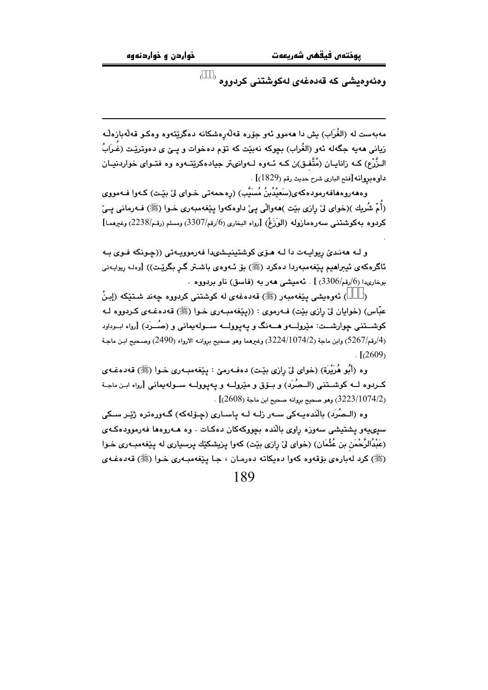يوختەں فيقھى شەربعەت

ومئەوم<mark>يشى كە قەدمغەى لەكوشتنى كرد</mark>ووم <sup>(333)</sup>

مەبەست لە (الغُرَاب) يش دا ھەمور ئەر جۆرە قەلەرەشكانە دەگرێتەرە وەكىو قەلەبازەلّـە زياني هەيە جگەلە ئەو (الغُراب) بچوكە نەبێت كە تۆم دەخوات و يــێ ي دەوترێت (غُـرَابُ الـزُّرْع) کــه زانایــان (مُتَّفـق)ن کــه ئــهوه لــهوانىتر جيادهکرێتــهوه وه فتــواى خواردنيــان داوه بروانه [فتح البارى شرح حديث رقم (1829)] .

وهھەروەھافەرمودەكەي(سَعَيْدُبنُ مُسَيَّب) (رەجمەتى خـواي ليْ بِيْـت) كـەوا فـەمووي (أُمّ شُريك )(خواي ليّ رازي بيّت )ههوالّي ييّ داوهكهوا يـيّغهمبهري خـوا (ﷺ) فـهرماني يـيّ كردوه بهكوشتني سەرەمازولە (الوَزَغْ) [رواه البخارى (6/رقم/3307) ومسلم (رقم/2238) وغيرهما]

و لـه ههنديّ ريوايـهت دا لـه هـوّي كوشتينيـشىدا فهرموويـهتي ((چـونكه فـوي بـه ئاگرەكەي ئيىراھيم يێغەمبەردا دەكرد (ﷺ) بۆ ئـەوەي باشـتر گـر بگرێـت)) [وەك ريوايـەتى بوخارىدا (6/رقم/3306) ] . ئەمىشى ھەر بە (فاسق) ناو بردووە .

) ئەوەبشى يێغەمبەر (ﷺ) قەدەغەي لە كوشتنى كردووە چەند شىتێكە (إبنُ عبّاس) (خوايان ليّ رازي بێت) فـهرموي : ((پێغهمبـهري خـوا (ﷺ) قهدهغـهي كـردووه لـه کوشــتني چوارشــت: مێرولـــهو هـــهنگ و پـهيوولـــه ســـولهيماني و (صُـــرَد) [رواه ابــوداود (4/رقم/5267) وابن ماجة (3224/1074/2) وغيرهما وهو صحيح بروانــه الارواء (2490) وصـحيح ابـن ماجـة  $1.1(2609)$ 

وه (أَبُو هُرَيْرَة) (خواي ليْ رازي بِيْت) دەفــهرميّ : پـێغهمبــهري خـوا (ﷺ) قـهدەغـهي كــردوه لــه كوشــتني (الــصُرَد) و بــۆق و مێرولــه و يـهيوولــه ســولهيماني [رواه ابـن ماجـة .  $(2608)$ وهو صحيح بروانه صحيح ابن ماجة (2608)] .

وه (الـصُرَد) بالَّندەپـەكى سـەر زلـه لـه ياسـارى (چـۆلەكە) گـەورەترە ژێـر سـكى سیپیهو پشتیشی سهوزه راوی بالُنده بچووکهکان دهکات . وه هــهروهها فهرموودهکـهی (عَبْدُالرَّحْمَنِ بنِ عُثْمَانِ) (خواي ليّ رازي بێت) كهوا يزيشكێك پرسپاري له پێغهمبـهري خـوا (ﷺ) کرد له بارهي بۆقەوە کەوا دەپکاتە دەرمان ، جـا پێغەمبـەرى خـوا (ﷺ) قەدەغـەي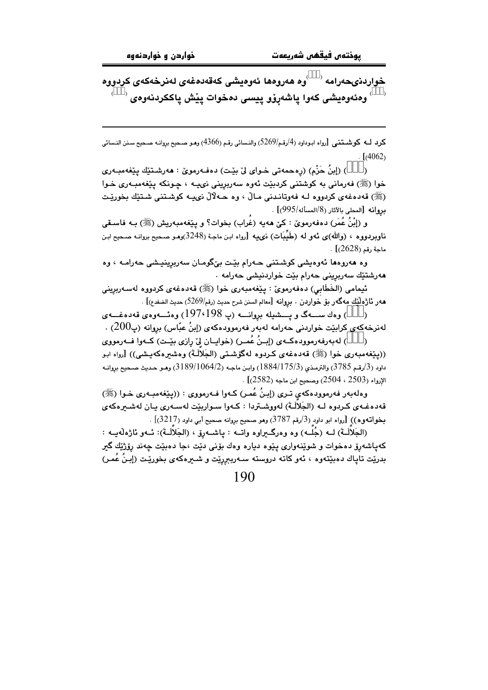خواردنىحەرامە <sup>(333</sup>وە ھەروەھا ئەوەيشى كەقەدەغەى لەنرخەكەى كردووە <sup>333)</sup> وەئەوەيشى كەوا پاشەرۆو پيسى دەخوات پێش پاككردنەوە*ى* 

كرد لــه كوشــتنـم , [رواه ابـوداود (4/رقـم/5269) والنـسائي رقـم (4366) وهـو صـحيح بروانـه صـحيح سـنن النـسائي  $\frac{1}{4062}$ 

) (إبنُ حَزْم) (رەحمەتى خـواي لِّيْ بِيْت) دەڧـﻪرمويْ : ھەرشـتێك پێغەمبـﻪري  $\lambda$ خوا (ﷺ) فەرمانى بە كوشتنى كردېيّت ئەوە سەربرينى نىپ ، چونكە يێغەمبەرى خـوا (ﷺ) قەدەغەي كردوړە لـە فەوتانـدنى مـالْ ، وە ھـەلالْ نىيـە كوشـتنى شـتێك بخورێـت بروانه [المحلى بالآثار (8/المسأله/995)] .

و (إِبْنُ عُمَرٍ) دەفەرمويٌ : كيٌ هەيە (غراب) بخوات؟ و يـێغەمبەريش (ﷺ) بـه فاسـقى ناوبردووه ، (والله)ي نَّهو له (طَيِّبَات) نيميه [رواه ابن ماجة (3248)وهـو صـحيح بروانـه صـحيح ابـن  $.$   $1/2628$ ) ماجة رقم

وه هەروەها ئەوەيشى كوشتنى حـەرام بێت بێگومـان سەربرينيـشى حەرامــە ، وە مەرشتێك سەربرينى حەرام بێت خواردنيشى حەرامە ٠

ئيمامي (الخَطَابِي) دەفەرمويٰ : يێغەمبەرى خوا (ﷺ) قەدەغەي كردووە لەسەربرينى هەر ئاژەلْيّك مەگەر بۆ خواردن . بروانە [معالم السنن شرح حديث (رقم/5269) حديث الضفدع)] .

) وهك ســــهگ و يـــــشيله بروانــــه (پـ 197،198) وهئــــهوهي قـهدهغـــهي  $\lambda$ لەنرخەكەي كرايٽت خوارىنى جەرامە لەبەر فەرموودەكەي (إينُ عِبّاس) بروانە (پ $200$ ) .

) لەبەرفەرموودەكــەي (إبـنُ عُمـر) (خواپــان ليّ رازي بێـت) كــەوا فــەرمووي  $\lambda$ ((پێغەمبەرى خوا (ﷺ) قەدەغەي كـردوە لەگۆشىتى (الجَلاَلَـة) وەشىرەكەيـشى)) [رواە ابـو داود (3/رقم 3785) والترمذي (175/3/284) وابـن ماجـه (3189/1064) وهـو حـديث صـحيح بروانـه  $[$  الإرواء (2503 ، 2504) وصحيح ابن ماجه (2582).

وهلهبهر فهرموودهكهي ترى (إبنُ عُمر) كـهوا فـهرمووي : ((يێغهمبـهري خـوا (ﷺ) قەدەغـەي كـردوە لــه (الجَلالَـةَ) لەووشـتردا : كـەوا سـواريێت لەسـەرى بـان لەشـىرەكەي  $[3217]$ بخواتهوه)) [رواه ابو داود (3/رقم 3787) وهو صحيح بروانه صحيح أبي داود (3217)]

(الجَلاَلَـةَ) لــه (جُلَــه) وه وهرگـــراوه واتــه : يـاشـــهرز ، (الجَلاَلَــةَ): ئــهو ئاژەلْهيــه : کهياشهرۆ دەخوات و شوێنەوارى يێوە ديارە وەك بۆنى دێت ،جا دەبێت چەند رۆژێك گىر بدرێِت تاپاك دەبێتەوە ، ئەو كاتە دروستە سـەربېررێِت و شـىرەكەی بخورێِت (إبـنُ عُمـر)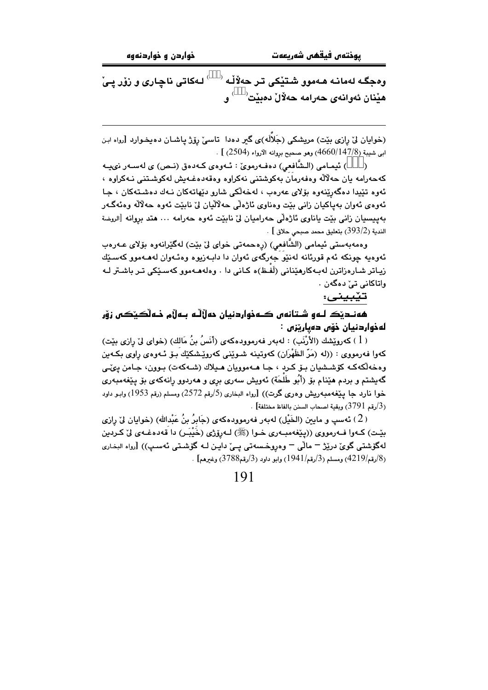وهجگـه لهمانـه هـهموو شـتێِکی تـر حهلاّلْـه <sup>(333)</sup> لـهکاتی ناچـاری و زۆر یـیّ ه<mark>ێنان</mark> ئەوانەي حەرامە حەلال دەبێت<sup>(333)</sup> و.

(خوایان لیٌ رازی بیّت) مریشکی (جَلاَلَه)ی گیر دهدا تاسیٌ روّژ پاشـان دهپخـوارد [رواه ابـن ابي شيبة (147/8/4660) وهو صحيح بروانه الأرواء (2504) ] .

) ئیمـامی (الـشَّافعی) دهفـهرمویّ : ئـهوهى كـهدهق (نـص) ی لهسـهر نىيـه كەحەرامە يان حەلالە وەفەرمان بەكوشتنى نەكراوە وەقەدەغەيش لەكوشىتنى نـەكراوە ، ئەوە تێپدا دەگەرێنەوە بۆلاى عەرەب ، لەخەلكى شارو دێھاتەكان نـەك دەشـتەكان ، جـا ئەوەي ئەوان بەياكيان زانى بێت وەناوي ئاژەلىي ھەلاليان ليٰ نابێت ئەوە ھەلالە وەئەگـەر بەپىسىيان زانى بَيْت ياناوى ئاژەلْى حەراميان لىْ نابَيْت ئەوە حەرامە ... ھتد بروانە [الروضة  $\,$ . [ الندية (393/2) بتعليق محمد صبحي حلاق  $\,$ 

وهمەبەستى ئيمامى (الشَّافعى) (رەحمەتى خواي ليْ بِيْت) لەگێرانەوە بۆلاي عـەرەب ئەوەيە چونكە ئەم قورئانە لەنێو جەرگەي ئەوان دا دابـەزيوە وەئـەوان لەھـەموو كەسـێك زياتر شارەزاترن لەبەكارەينانى (لَفظ)ە كانى دا . وەلەھـەموو كەسىيكى تىر باشىتر لـە واتاكانى تے دەگەن .

تێبينى:

هەنـدێڪ لـﻪﻭ ﺷـﺘﺎﻧﻪﺭ ڪـﻪﺫﻭﺍﺭﺩﻧﻴﺎﻥ ﺩﻩﻝْﻟﻠﻪ ﺑـﻪﻝْﻡ ﺧـﻪﻟْڪێڪﺮ ﺯﯙﺭ لەخواردنيان خۆس دەپارتزق :

( 1 ) كەروپْشك (الأرْنَبِ) : لەبەر فەرموودەكەي (أَنَسُ بنُ مَالك) (خواي ليّ رازى بِيْت) کهوا فهرمووي : ((له (مَرّ الظَهْرَان) کهوتينه شـوێني کهروێشکێك بـۆ ئـهوهي راوي بکـهين وهخەلكەكــه كۆشىشيان بــۆ كــرد ، جــا ھــهموويان ھــيلاك (شــهكەت) بــوون، جــامن يـىمـّـى گەيشتم و بردم هێنام بۆ (أَبُو طَلحَة) ئەويش سەرى برى و ھەردوو رانەكەي بۆ يێغەمبەرى خوا نارد جا پێغهمبهریش وهری گرت)) [رواه البخاری (5/رقم 2572) ومسلم (رقم 1953) وابـو داود . (3/رقم 3791) وبقية اصحاب السنن بالفاظ مختلفة] $\,$ 

( 2 ) ئەسپ و مايىن (الخَيْل) لەبەر فەرموودەكەي (جَابِرُ بنُ عَبْدالله) (خوايان لِيْ رازى بِيّتِ) كـهوا فـهرمووي ((يێغهمبـهري خـوا (ﷺ) لـهروزي (خَيْبَـر) دا قهدهغـهي ليّ كـردين لهگۆشتى گوئ درێژ <sup>—</sup> ماڵى <sup>—</sup> وەروخسەتى يـئ دايـن لـه گۆشـتى ئەسـڀ)) [رواه البخارى (8/رقم/4219) ومسلم (3/رقم/1941) وابو داود (3/رقم3788) وغيرهم] .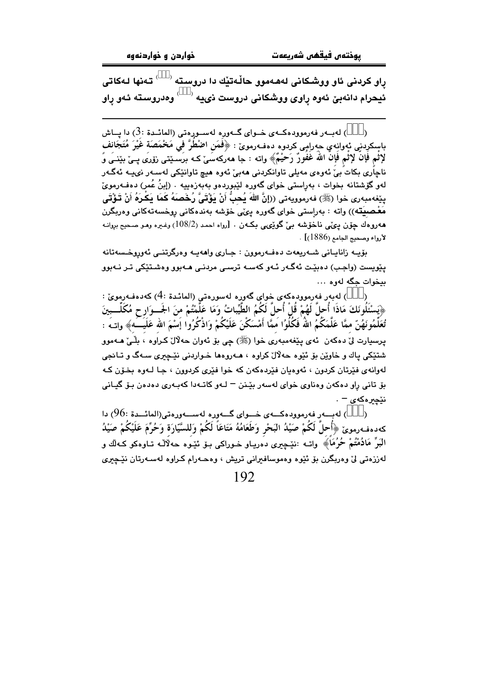ړاو کردنی ئاو ووشکانی لهههموو حالّـهتیّك دا دروسته <sup>(333)</sup> تـهنها لـهکات*ـ*ی ئیحرام دانەبىّ ئەوە راوى ووشكانى دروست نىيە <sup>(333)</sup> وەدروسىتە ئەو راو

) لهبــهر فهرموودهكــهى خــواى گــهوره لهســورهتى (المائــدة :3) دا پــاش باسكرِدني نُهوانِهي حهراِمٍي كردوه دهفـهرمويٌ : ﴿فَعَن اصْطُرَّ في مَحْمَصَة غَيْرَ مُتَجَانِفٍ لإِثْمِ فَإِنَّ لِإِثْمِ فَإِنَّ اللَّهَ غَفُورٌ رَحِيْمٌ﴾ واته : جا مەركەسَىٰ كـه برَسَـيْتـي زۆرىَ پــيْ بيْنــي وَ ناچاُری بکات بیٚ ئەوەی مەيلی تاوانکردنی ھەبیٚ ئەوە ھیچ تاوانێکی لەسـەر نىيـە ئەگـەر لهو گۆشتانه بخوات ، بەرِاستى خواى گەورە لێبوردەو بەبەزەييە . (إبنُ عُمر) دەڧەرموێ ينِفهمبهري خوا (ﷺ) فەرموويەتى ((إِنَّ اللَّهَ يُحبُّ أَنْ يَؤْتَىِّ رُخَصَهُ كَمَا يَكرَهُ أَنْ تَؤْتَى مَعْـصِيَتّه)) واته : بەراستى خواي گەورە يىڭى خۆشە بەندەكانى روخسەتەكانى وەربگرن هەروەك چۆن يېڭى ناخۆشە بې گويېمى بكەن . [رواه احمد (108/2) وغيره ومو صحيح بروانـه لأرواء وصحيج الجامع (1886)] .

بۆيــه زانايــانى شــهريعهت دەفــهرموون : جـارى واھەيــه وەرگرتنــى ئەوروخـسەتانه یێویست (واجب) دہبێت ئەگەر ئەو كەسە ترسى مردنـى ھـﻪبوو وەشـتێكى تـر نـﻪبوو بيخوات جگه لهوه ...

) لەبەر فەرموودەكەي خواي گەورە لەسورەتى (المائدة :4) كەدەفـەرمويّ : ﴿يَسْتَلُونَكَ مَاذَا أُحلَّ لَهُمْ قُلْ أُحلَّ لَكُمُ الطَّيِّباتُ وَمَا عَلَّمْتُمْ منَ الجَــوَارح مُكَلَّـــبينَ تُعَلِّمُونَهُنّ ممَّا عَلَّمَكُمُ اللهُ فَكُلُوُا مَمَّا أَمْسَكْنَ عَلَيْكُمْ وَاذْكُرُوا إَسْمَ الله عَلَيَـــهَ﴾ واتــهَ : يرسيارت ليٰ دهکەن ئەي يێغەمبەرى خوا (ﷺ) چې بۆ ئەوان حەلال کراوە ، بلّـيٰ ھــەموو شتٽکي پاك و خاوٽن يۆ ئٽوه جهلال کراوه ، هـهروهها خـواردني نٽيجري سـهگ و تـانحي لهوانهي فێرتان کردون ، ئەوەيان فێردەکەن کە خوا فێرى کردوون ، جـا لـهوە بخـۆن کـه بۆ تانى راو دەكەن وەناوى خواي لەسەر بێنن – لـەو كاتـەدا كەبـەرى دەدەن بـۆ گيـانى  $-$ نٽحبر هکه $\sim$ 

) لەبىلەر فەرموودەكـــەى خـــواى گـــەورە لەســـەورەتى(المائـــدة :96) دا  $\Delta$ كەدەڧەرموێ ﴿أُحلَّ لَكُمْ صَيْلُا البَحْرِ وَطَعَامُهُ مَتَاعَاً لَكُمْ وَللسَّيّارَة وَحُرِّمَ عَلَيْكُمْ صَيْلُ البَرِّ مَادُمْتُمْ حُرُمَا﴾ واتــه :نێڃيري دهريــاو خــوراكي بــۆ ئێـوه حـهلآلـه تــاوهكو كــهالْك و لەززەتى لى وەريگرن بۆ ئێوە وەموساڧىرانى تريش ، وەھـەرام كىراوە لەسـەرتان نێڃىرى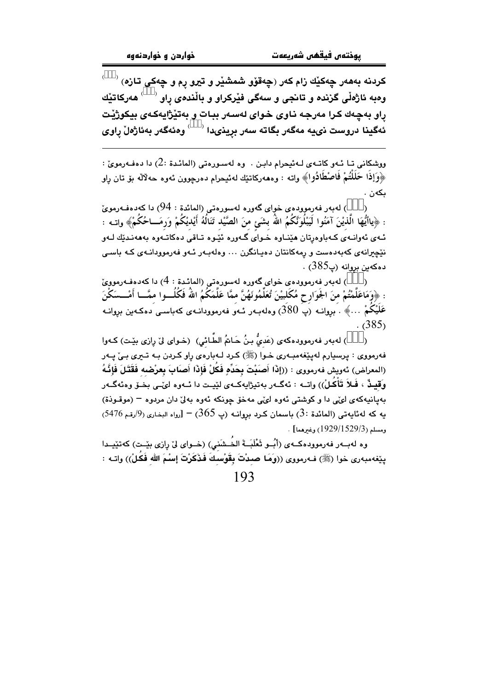کردنه بهههر چەکێك زام کەر (چەقۆو شمشێر و تیرو رم و چەکى تازە) <sup>(333)</sup> وهبه ئاژەڵى گ<mark>زندە و تانجى و س</mark>ەگى فێركراو و باڵندەى راو <sup>(333)</sup> ھەركاتێك راو بهچهك كرا مەرجە ناوى خواي لەسەر ببات و بەتێژاپەكەي بيكوژێت .<br>ئەگينا دروست نىيە مەگەر بگاتە سەر برينىدا <sup>(333)</sup> وەئەگەر بەئاژەل راوى

ووشكاني تـا ئـهو كاتـهى لـهئيحرام دابـن . وه لهسـورهتي (المائـدة :2) دا دهفـهرمويّ : ﴿وَإِذَا حَلَلْتُمْ فَاصْطَادُوا﴾ واته : وههەركاتێك لەئىحرام دەرچوون ئەوە حەلآلە بۆ تان رِاو ىكەن .

) لەبەر فەرموودەي خواي گەورە لەسورەتى (المائدة : 94) دا كەدەفـەرموئ  $\mathcal{E}$ : ﴿ياأَيُّهَا الَّذيْنَ آمَنُوا لَيَبْلُوَنَّكُمُ اللَّهُ بشَئٍ منَ الصَّيْد تَنَالُهُ أَيْديْكُمْ وَرمَـــاحُكُمْ﴾ واتــه : ئـهي ئهوانـهي كـهباوهرتان هێنـاوه خـواي گـهوره ئێـوه تـاقي دهكاتـهوه بهههنـدێك لـهو نێڃیرانهی کهبهدهست و رمهکانتان دهیـانگرن ... وهلهبـهر ئـهو فهرموودانـهی کـه باسـی دەكەبن بروانە (پ385) .

) لەبەر فەرموودەي خواي گەورە لەسورەتى (المائدة : 4) دا كەدەفەرموويّ : ﴿وَمَاعَلَّمْتُمْ منَ الجَوَارِحِ مُكَلبيْنَ تُعَلِّمُونَهُنَّ ممَّا عَلَّمَكُمُ اللهُ فَكُلُــوا ممَّــا أَمْــسَكْنَ عَلَيْكُمْ …﴾ . بروانـه (پَ 380) وهلهبـهر ئـهو فهرموودانـهى كهباسـى دهكـهين بروانـه  $(385)$ 

) لهبهر فهرموودهكهي (عَديُّ بنُ حَاتمُ الطَّائي) (خـواي ليّ رازي بيّـت) كـهوا .<br>فەرمووى : يرسيارم لەپێغەمبەرى خىوا (ﷺ) كىرد لـەبارەى راو كىردن بـە تـىرى بـى چـەر (المعراض) ئەويش فەرمووى : ((إِذَا أَصَبْتَ بِحَدِّهِ فَكُلْ فَإِذَا أَصَابَ بِعرْضِه فَقَتَـلَ فَإِنَّـهُ وَقِيـدٌ ، فَـلاَ تَأْكُـلْ)) واتــه : ئەگــەر بەتيژاپەكــەي لێيــت دا ئــەوه لێــى بخــۆ وەئەگــەر بهبانيه کهي لوێي دا و کوشتي ئهوه لوێي مهخق جونکه ئهوه به ێ دان مردوه – (موقـوذة) يه كه لهئايهتي (المائدة :3) باسمان كرد بروانـه (پ $65$  ) – [رواه البخاري $9$ رقـم 5476) . ومسلم (1929/1529/3) وغيرهما]

وه لهسهر فهرموودهكـهي (أُسُو ثَعْلَيَـةَ الخُـشَنَى) (خـواي ليْ رازي بِيّـت) كهتيّـيدا ييِّغهمبهري خوا (ﷺ) فـهرمووى ((وَهَا صدْتَ بِقَوْسَكَ فَذَكَرْتَ إِسْمَ الله فَكُلْ)) واتـه :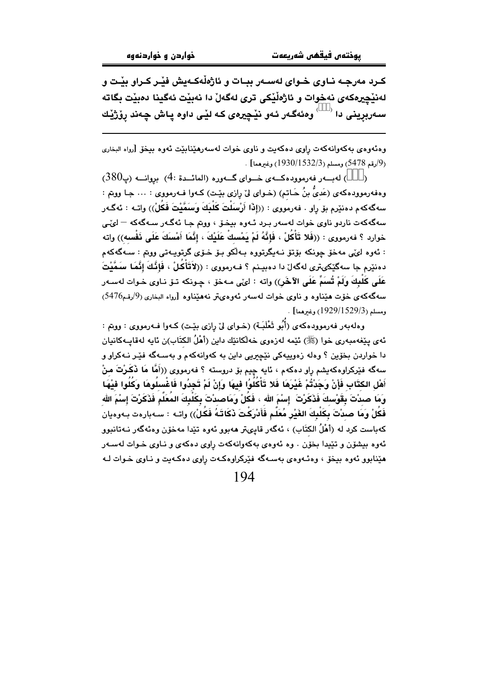کـرد مەرجـه نـاوي خـواي لەسـەر ببـات و ئاژەڵەكـەيش فێـر كـراو بێـت و لەنێچىرەكەي نەخوات و ئاژەڵێكى ترى لەگەلْ دا نەبێت ئەگينا دەبێت بگاتە سەربرينى دا <sup>(333)</sup> وەئەگەر ئەو نێچيرەى كە لێى داوە پاش چەند پۆژێك

وهنَّهوهي بهكهوانهكهت رِاوي دهكهيت و ناوي خوات لهسهرهێنابێت ئهوه بيخوّ [رواه البخاري . (9/رقم 5478) ومسلم (1532/1533) رغىرهما].

) لەبىــەر فەرموودەكـــەي خـــواي گـــەورە (المائــدة :4) بروانـــە (پ380)  $\lambda$ وهفهرموودهكهي (عَديُّ بنُ حَـاتم) (خـواي ليّ رازي بيّـت) كـهوا فـهرمووي : … جـا ووبتم : سهگەكەم دەنێرم بۆ ڕاو . فەرمووى : ((إِذَا أَرْسَلُتَ كَلْبِكَ وَسَمَّيْتَ فَكُلْ)) واتــه : ئەگـەر سهگەکەت ناردو ناوى خوات لەسەر بـرد ئـەوە بيخـۆ ، ووتم جـا ئەگـەر سـەگەکە — لىُـى خوارد ؟ فەرمووى : ((فَلا تَأْكُلْ ، فَإِنَّهُ لَمْ يَمْسِكْ عَلَيْكَ ، إِنَّمَا أَمْسَكَ عَلَى ذَفْسه)) واته : ئەوە ل*ىڭ*ى مەخۆ چونكە بۆتۆ نـەيگرتورە بـەلكو بـۆ خـ*ۆى* گرتوپـەتى روتم : سـەگەكەم دەنێرم جا سەگێکىترى لەگەل دا دەبيـنم ؟ فـەرمووى : ((لاَتَأْكُلْ ، فَإِنَّكَ إِنَّمَا سَمَّيْتَ عَلَى كَلَبِكَ وَلَمْ تُسَمٍّ عَلَى الآخَر)) واته : ايْي مـهخوْ ، جـونكه تـوْ نـاوى خـوات لهسـهر سهگهکهی خوّت هیّناوه و ناوی خوات لهسهر ئهوهیتر نههیّناوه [رواه البخاری (9/رقم5476) ومسلم (1529/1529) وغيرهما] .

وهلهبهر فهرموودهكهي (أَبُو ثَعْلَبَـة) (خـواي ليِّ رازي بيِّت) كـهوا فـهرمووي : ووتم : ئەي يێغەمبەرى خوا (ﷺ) ئێمە لەزەوي خەڵكانێك داين (أَهْلُ الكتَاب)ن ئايە لەقايــەكانيان دا خواردن بخوّین ؟ وهله زهوییهکی نێچیریی داین به کهوانهکهم و بهسـهگه فێـِر نـهکراو و سەگە فێركراوەكەيشم راو دەكەم ، ئايە چيم بۆ دروستە ؟ فەرمووى ((أَهَّا مَا فَكَرْتَ منْ أَهْلِ الكتَّابِ فَإِنْ وَجَدْتُمْ غَيْرَهَا فَلا تَأْكُلُوا فيهَا وَإِنْ لَمْ تَجِدُوا فَاغْسلُوهَا وَكُلُوا فيْهَا وَمَا صدْتَ بِقَوْسكَ فَذَكَرْتَ ۚ إِسْمَ الله ، فَكُلْ وَمَاصدْتَ بِكَلْبِكَ المُعَلِّم فَذَكَرْتَ إسْمَ الله فَكُلْ وَمَا صدْتَ بِكَلْبِكَ الغَيْرِ مُعَلَّم فَأَدْرَكْتَ ذَكَاتَـهُ فَكُلْ)) واتـه : سـهبارهت بـهوهيان كەباست كرد لە (أَهْلُ الكتَابِ) ، ئەگەر قايىتر ھەبور ئەوە تێدا مەخۆن وەئەگەر نـەتانبور ئهوه بيشۆن و تێپدا بخۆن ، وه ئەوەي پەكەوانەكەت راوي دەكەي و نـاوي خـوات لەسـەر هێنابوو ئەوە بيخۆ ، وەئـەوەي بەسـەگە فێركراوەكـەت راوى دەكـەيت و نـاوى خـوات لـه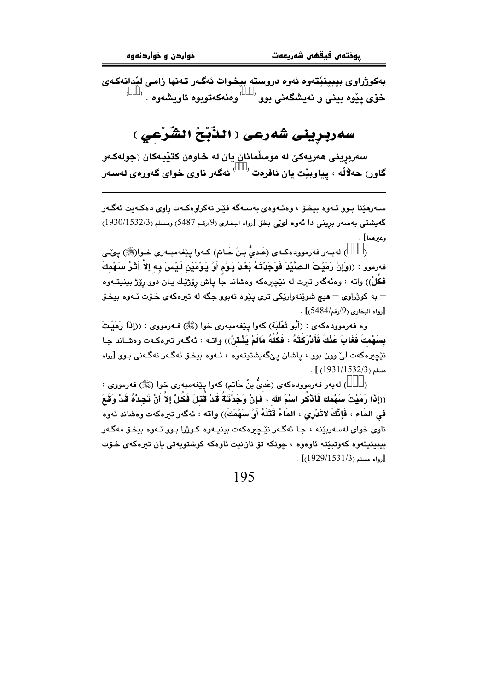بەكوژراوى بيبينيْتەوە ئەوە دروستە بيخوات ئەگەر تەنھا زامى ليْدانەكەي  $^{(333)}$ خۆی پێوه بینی و نهیشگەنی بوو  $^{(333)}$ وهنەکەتوبوه ئاویشەوه .  $^{(333)}$ 

# سەربرينى شەرعى ( الذَّبْحُ الشَّرْعي )

سەربرينى ھەريەكێ لە موسلْمانان يان لە خاوەن كتێبەكان (جولەكـەو .<br>گاور) حەلالە ، يياوبێت يان ئافرەت <sup>(333)</sup> ئەگەر ناوى خواى گەور*ەي ل*ەسەر

سـهرهێنا بـوو ئـهوه بيخـۆ ، وهئـهوهى بهسـهگه فێـِر نهکراوهکـهت راوى دهکـهيت ئهگـهر گەيشتى بەسەر بړينى دا ئەوە لىڭى بخۆ [رواه البخارى (9/رقم 5487) ومسلم (1930/1532/3) وغيرهما] .

) لهبـهر فهرموودهكـهي (عَديٌّ بنُ حَـاتم) كـهوا پِيْغهمبـهري خـوا(ﷺ) پِيَّـي  $\lambda$ فهرمور : ((وَإِنْ رَمَيْتَ الصَّيْدَ فَوَجَدْتَهُ بَعْدَ يَوْمِ أَوْ يَوْمَيْنِ لَيْسَ بِه إِلاَّ أَثْرُ سَهْمكَ فَكلْ)) واته : وهئهگەر تيرت له نێڇيرهکه وهشاند جا ياش رۆژێك يـان دوو رۆژ بينيتــهوه – به کوژراوي – هيچ شوێنهوارێکي تري پێوه نهبوو جگه له تيرهکهي خــوّت ئــهوه بيخـوّ . [رواه البخاري (9/رقم/5484)] .

وه فەرموودەكەي : (أَبُو ثَعْلَبَة) كەوا يِنْغەمبەرى خوا (ﷺ) فـەرمووى : ((إِذَا رَمَيْتَ بِسَهْمِكَ فَغَابَ عَنْكَ فَأَدْرِكْتَهُ ، فَكُلُّهُ مَالَمْ يَثْـتنْ)) واتـه : ئەگـەر تىرەكـەت وەشـاند جـا نٽِڇيرهکهت ليُ وون بوو ، ڀاشان ڀيِّگهيشتيتهوه ، ئـهوه بيخـوٚ ئهگـهر نهگـهني بـوو [رواه  $\cdot$  [ (1931/1532/3)

) لەبەر فەرموودەكەي (عَدىٌّ بنُ حَاتم) كەوا پێغەمبەرى خوا (ﷺ) فەرمووى :  $\lambda$ ((إِذَا رَمَيْتَ سَهْمَكَ فَأَدْكُر اسْمَ الله ، فَإِنْ وَجَدْتَـةُ قَدْ قُتلَ فَكُلْ إِلاَّ أَنْ تَجِدْهُ قَدْ وَقَعَ في المَاء ، فَإِنَّكَ لاتَدْرِي ، المَاءُ قَتَلَهُ أَوْ سَهْمَكَ)) واته : ئەگەر تیرەكەت وەشاند ئەوە .<br>ناوی خوای لهسهربێنه ، جـا ئهگـهر نێـﭽیرهکهت بینیـهوه کـوژرا بـوو ئـهوه بیخـۆ مهگـهر سيپنيتەوه كەوتىيتە ئاوەوە ، چونكە تۆ نازانىت ئاوەكە كوشتوپەتى بان تىرەكەي خىۆت . [رواه مسلم (1531/3/1594)]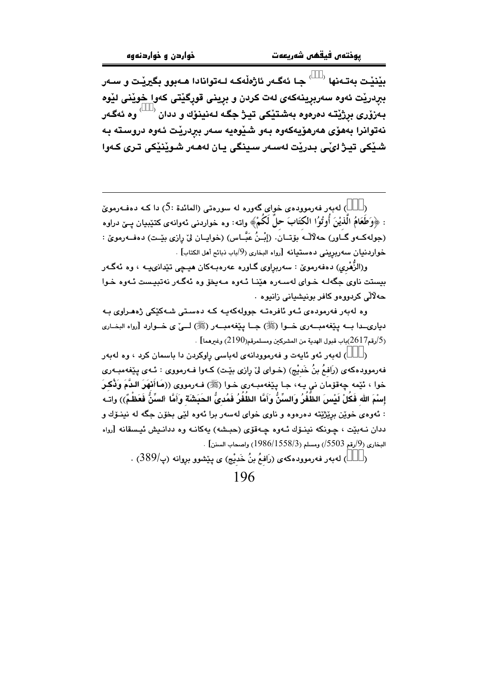بێنێت بەتـﻪنها <sup>(333)</sup> جـا ئەگـﻪر ئاژەڵەكـﻪ لـﻪتوانادا ھـﻪبوو بگيرێت و سـﻪر ببردريْت ئەوە سەربرِينەكەي لەت كردن و برِينى قورِگێتى كەوا خوێنى لێوە بەزۆرى بړژيتـه دەرەوە بەشـتيكى تيـژ جگـه لـەنينۆك و ددان <sup>(333)</sup> وە ئەگـەر نەتوانرا بەھۆى ھەرھۆيەكەوە بەو شێوەيە سەر بېردرێت ئەوە دروستە بە شيکي تيژ ليُے بدريْت لەسەر سينگي يان لەھەر شويْنيْکي ترى کەوا

) لهبهر فهرموودهى خواى گهوره له سورهتى (المائدة :5) دا كـه دهفـهرمويّ : ﴿وَطَعَامُ الَّذِيْنَ أُوتُوُا الكتَابَ حلَّ لَكُمْ﴾ واتـه: وه خواردنبي ئـهوانـهي كتـێبـيـان پــێ دراوه (جولهڪـهو گــاور) حهلالـه بۆتــان. (إِنْـنُ عَبَّـاس) (خوابــان ليْ رازي بِيْـت) دهفــهرمويٰ : .<br>خواردنيان سەربرينى دەستيانە [رواه البخارى (<sup>9/</sup>باب ذبائح أهل الكتاب] .

و(الزَّهْري) دەفەرمويٰ : سەربراوي گـاورە عەرەبـەكان ھیـڃى تێدانىيــە ، وە ئەگـەر بيستت ناوي جگهك خـواي لهسـهره هێنـا ئـهوه مـهيخۆ وه ئهگـهر نهتبيـست ئـهوه خـوا حەلالى كردووەو كافر بونيشيانى زانيوە .

وه لهېەر فەرمودەى ئـەو ئافرەتـە جوولەكەپـە كـە دەسـتى شـەكێكى ژەھـراوى بـە دیاری دا بــه یێغهمبــهری خــوا (ﷺ) جــا یێغهمبــهر (ﷺ) لــیٌ ی خــوارد [رواه البخــاری . (2/رقم2617)باب قبول الهدية من المشركين ومسلمرقم(2190) وغيرهما $(2190)$ 

) لهېور ئهو ئايەت و فەرموۋدانەي لەياسى راوكردن دا ياسمان كرد ، وه لەيەر  $\lambda$ فهرموودهکهی (رَافمُ بنُ خَديْج) (خـوای ليّ رازی بێت) کـهوا فـهرمووی : ئـهی يێغهمبـهری خوا ، ئێمه چەقۆمان نى پـه، جـا يێغەمبـەرى خـوا (ﷺ) فـەرمووى ((مَـاأَنْهَرَ الدَّمَ وَذُكـرَ إِسْمَ الله فَكُلْ لَيْسَ الظُّفُرُ وَالسِّنُّ وَأَمَّا الظُفُرُ فَمُدىُّ الحَبَشَة وَأَمَّا السِّنُّ فَعَظْمٌ)) وات : ئەوەي خوێن برێژێتە دەرەوە و ناوى خواى لەسەر برا ئەوە لێى بخۆن جگە لە نىنىۆك و ددان نـهبيّت ، چـونكه نينـوّك ئـهوه چـهقوّى (حبـشه) بهكانـه وه ددانـيش ئيـسقانه [رواه  $\cdot$  البخاري (9/رقم 5503/) ومسلم (1558/3/3) واصحاب السنن] .

> ) له به رفه رمووده که ی (رَافمُ بنُ خَدیْج) ی پیّشوو بروانه (پ $(389)$  .  $\rightarrow$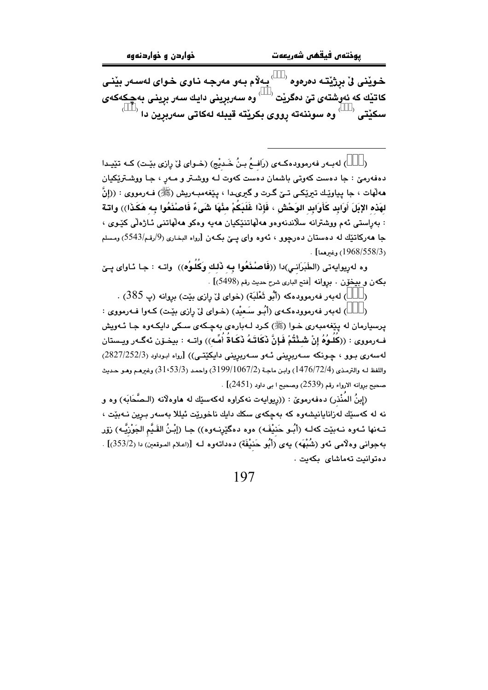خـويْنـى لِّ برژيْتـه دەرەوە <sup>(333</sup> بـهلاّم بـهو مەرجـه نـاوى خـواى لـهسـەر بيْنـى كاتێك كه ئەوشتەى تێ دەگرێت <sup>(333</sup> وە سەربرينى دايك سەر برينى بەچكەكە*ى*  $^{(333)}$ سكێتى  $^{(333)}$ وه سوننەته رووى بكرێته قيبله لەكاتى سەربرين دا

) لهبـهر فهرموودهكـهى (رَافــمُ بـنُ خَـديْجِ) (خـواي ليّ رازي بيّـت) كـه تێيـدا  $\lambda$ دهفهرميٰ : جا دهست کهوټي باشمان دهست کهوت لـه ووشـتر و مـهر ، جـا ووشـترێِکيان مەلّهات ، جا پياوێك تىرێكى تىێ گـرت و گىرىدا ، پێغەمبـەريش (ﷺ) فـەرمووى : ((إنَّ لهَذه الإبَلَ أَوَابِد كَأَوَابِد الوَحْش ، فَإِذَا غَلَبَكُمْ مِنْهَا شَىءٌ فَاصنْذَعُوا بِه هَكَذَا)) واتـة : بەراستى ئەم ووشترانە سلاندنەوەو ھەلھاتنێکيان ھەيە وەكو ھەلھاتنى ئـاژەلى كێوى ، جا ههرکاتێك له دهستان دهرچوږ ، ئەوه واي يــێ بكـهن [رواه البخاري (9/رقم/5543) ومسلم (1968/558/3) وغيرهما] .

وه لهريوايهتي (الطَّبَرَانـي)دا ((فَاصنْنَعُوا بِـه ذَلك وَكُلُوهُ)) واتـه : جـا ئـاواي يــِيّ بكهن و بيخوّن . بروانه [فتح البارى شرح حديث رقم (5498)] .

) له به رفه رمووده که (أَبُو ثَعْلَبَة) (خواي ليّ رازي بيّت) بروانه (پ 385) .

) لهبهر فهرموودهكهى (أَبُو سَعيْد) (خواى ليّ رِازي بيّت) كـهوا فـهرمووى :  $\lambda$ پرسپارمان له پێغەمبەری خـوا (ﷺ) کـرد لـﻪبارەی بەچـکەی سـکی دایکـەوە جـا ئـﻪویش فـهرمووي : ((كُلُـوُهُ إنْ شَـنْتُمْ فَـإنَّ نَكَاتَـهُ نَكَـاةُ أُمِّـه)) واتـه : بيخـوّن ئهگـهر ويـستان لەسەرى بىوق ، جىونكە سىەربرېنى ئىەر سىەربرېنى دايكٽتى)) [روام ابوداود (2827/252/3) واللفظ لـه والترمذي (1476/72/4) وابـن ماجـة (2/1067/2) (3199، واحمد (31،53/3) وغـرهـم وهـو حـديث .<br>صحيح بروانه الارواء رقم (2539) وصحيح ا بي داود (2451)] .

(إِينُ المُنْذِرِ) دەفەرموێ : ((ريوابەت نەكراوە لەكەستك لە ھاوەلانە (الـصَّحَابَهِ) وە ق .<br>نه له کهسێك لهزانایانیشهوه که بهچکهی سکك دایك ناخورێت ئیللا بهسهر بـرین نـهبێت ، تـهنها ئـهوه نـهبێت كهك (أبُـو حَنيْفَـه) موه دهگێرنـهوه)) جـا (إبْنُ القَـيَّم الجَوْزِيَّـه) زۆر بهجوانی وهلّامی ئهو (شُبْهَه) یهی (أَبُو حَنيْفَة) دهداتهوه لـه [(اعلام الموقعين) دا (353/2)] . دەتوانىت تەماشاي بكەيت .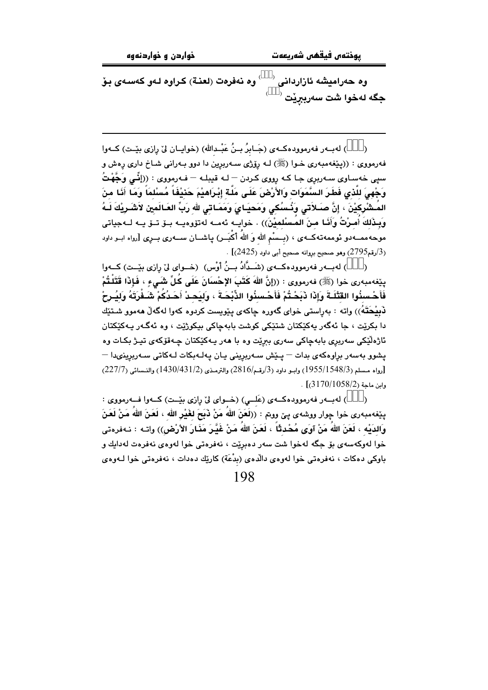وه حەراميشە ئازاردانى <sup>(333)</sup> وه نەفرەت (لعنـة) كـراوه لـەو كەسـەي بـۆ جگه لهخوا شت سەرببرێت <sup>(333)</sup>

) لهبـهر فهرموودهكـهى (جَـابرُ بـنُ عَبْـدالله) (خوايـان ليٌ رازي بيّـت) كـهوا فه رمووي : ((پێغهمبهري خـوا (ﷺ) لـه رِۆِرْي سـهربرِين دا دوو بـهراني شـاخ داري رِهش و سپی خهساوی سهربرِی جا که رِووی کردن – لـه قیبلـه – فـهرمووی : ((إِنِّمِي وَجَّهْتُ وَجْهِيَ للَّذِي فَطَرَ السَّمَوَات وَالأَرْضَ عَلَى مَلَّة إِبْرَاهِيْمَ حَنَيْفَاً مُسْلَمَاً وَمَا أَنَا مِنَ المُـشْرِكِيْنَ ، إِنَّ صَـلاَتي وَنُـسُكِي وَمَحيَـايَ وَمَمَـاتِي للهِ رَبِّ العَـالَمِين لاَشْـرِيْكَ لَـهُ وَبِـذَلكَ أَمـرْتُ وَأَنّـا مـنَ المُـسْلميْنَ)) . خوايــه ئهمــه لهتۆوهيــه بــۆ تــۆ يــه لــهجياتى موحه ممــهدو ئوممه تهکــهى ، (بــسْم الله وَ اللهَ أَكْبَــر) ياشــان ســهرى بــرى [رواه ابــو داود .  $(2425)$ رقم $(2795)$ ) وهو صحيح بروانه صحيح أبي داود ( $(3425)$ 

) لهبور فهرموودهكهي (شَـدَّادُ بِـنُ أَوْسٍ) (خَـواي لِيّ رازي بِيّـتِ) كَــهوا  $\lambda$ ينِغهمبهري خوا (ﷺ) فهرمووي : ((إنَّ اللهَ كَتَبَ الإِحْسَانَ عَلَى كُلِّ شَـَىءٍ ، فَإِذَا قَتَلْتُمْ فَأَحْسِنُوا القَتْلَـةَ وَإِذَا ذَبَحْتُمْ فَأَحْسِنُوا الذِّبْحَـةَ ، وَلِيَحـدْ أَحَـدُكُمْ شَـفْرَتَهُ وَليُـرحْ .<br>نوفيحَتَهُ)) واته : بەراستى خواي گەورە چاكەي پێويست كردوه كەوا لەگەڵ ھەموو شـتێك دا بکريٽ ، جا ئەگەر پەکێکتان شتێکی کوشت بابەچاکی بېکوژيّت ، وه ئەگەر پەکێکتان ئاژەلێکی سەربری بابەچاکی سەری بېرێت وہ با ھەر پـەکێکتان چـەقۆکەی تپـژ بکـات وە یشوق بهسهر براوهکهی بدات — پیش سپهریزینی بیان بولیهبکات لیوکاتی سپهریزینهها — [رواه مسلم (1955/1548/3) وابـو داود (3/رقـم/2816) والترمـذي (1430/431/2) والنـسائي (227/7)  $.$  [3170/1058/2] .

) لهبور فهرمووده که ی (عَلــی) (خــوای لیّ رازی بیّــت) کــهوا فــهرمووی :  $\lambda$ يێِغەمبەرى خوا چوار ووشەى يىّ ووتم : ((لَعَنَ اللهُ مَنْ ذَبَحَ لغَيْرِ الله ، لَعَنَ اللهُ مَنْ لَعَنَ وَالدَيْه ، لَعَنَ اللهُ مَنْ آوَى مُحْدِثًا ، لَعَنَ اللهُ مَنْ غَيَّرَ مَذَارَ الأرْضِ)) واتـه : نـهفرەتى خوا لەوكەسەي بۆ جگە لەخوا شت سەر دەبرێت ، نەفرەتى خوا لەوەي نەفرەت لەدايك و باوكي دهكات ، نەفرەتي خوا لەوەي دالْدەي (بِدْعَة) كارێك دەدات ، نەفرەتى خوا لــەوەي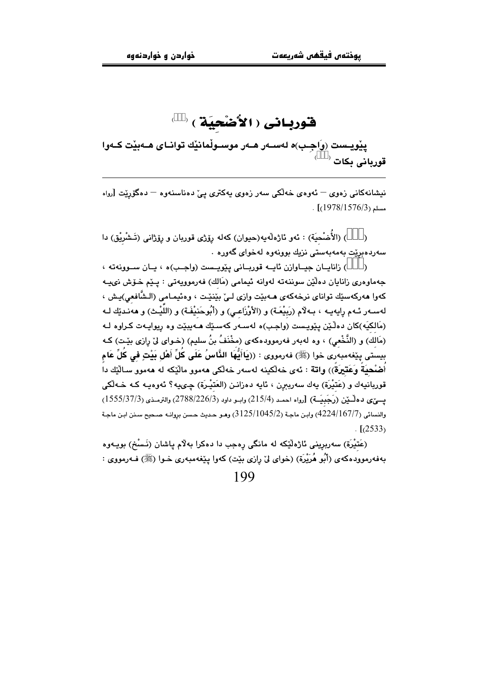# قورباني (الأَصْحِيَة) 333

پێویـست (وَاجِـب)ه لهســهر هــهر موســوڵمانێك توانــای هــهبێت كــهوا<br>قوربانی بكات <sup>(333)</sup>

نیشانهکانی زەوی <sup>—</sup> ئەوەی خەلکی سەر زەوی یەکتری یی ْدەناسنەوە <sup>—</sup> دەگۆرپت [<sub>رواە</sub>  $\cdot$  [(1978/1576/3)

) (الأُضْحيَة) : ئەو ئاژەلەيە(حيوان) كەلە رِۆژى قوربان و رِۆژانى (تَـشْرِيْق) دا سەردەبريْت بەمەبەستى نزيك بوونەوە لەخواى گەورە ٠

) زانايــان جيــاوازن ئايــه قوريــانى يێويــست (واجـب)ه ، يــان ســوونهته ،  $\lambda$ جەماوەرى زانايان دەلٽن سوننەتە لەوانە ئيمامى (مَالك) فەرموويەتى : يـێم خـۆش نىيـﻪ كەوا ھەركەسێك تواناي نرخەكەي ھـﻪبێت وازى لـێ بێنێت ، وەئيمـامى (الـشَّافعى)يـش ، لهسـهر ئـهم رايهيـه ، بـهلاّم (رَبيْعَـة) و (الأوْزَاعـى) و (أَبُوحَنيْفَـة) و (اللَّيْـث) و ههنـديّك لـه (مَالکيَه)کان دهلٌيْن پێويست (واجب)ه لهسهر کهسێك هـهيبێت وه رِيوايـهت کـراوه لـه (مَالَكَ) و (النَّخْعى) ، وه لهبهر فهرموودهكهى (مخْنَفُ بنُ سليم) (خـواى ليّ رِازى بيّـت) كـه بِيستي بِيَغْهمبەرى خوا (ﷺ) فەرمورى : ((يَاأَيُّهَا الذَّاسُ عَلَى كُلِّ أَهْل بَيْتِ في كُلِّ عَام أَضْحيَةً وَعَتيرَةً)) واتة : ئەي خەلكىنە لەسەر خەلكى ھەمور مالّيكە لە ھەمور سـالّيّك دا قوريانيهك و (عَتَيْرَة) يهك سەريبرن ، ئايە دەزانـن (العَتَيْـرَة) چـىيه؟ ئەوەپـە كـه خـەلْكى يسيٌّي دهلْـيْن (رَجَبِيَـة) [رواه احمـد (215/4) وابـو داود (2788/226/3) والترمـذي (3555/37/3) والنسائي (4224/167/7) وابن ماجـة (3125/1045/2) وهـو حـديث حـسن بروانـه صـحيح سـنن ابـن ماجـة  $\sqrt{(2533)}$ 

(عَتيْرَة) سەربرينى ئاژەلێكە لە مانگى رەجب دا دەكرا بەلام ياشان (نَـسْخ) بويـەوە بهفهرموودهکهی (أَبُو هُرَيْرَة) (خوای ليّ رِازی بێٽ) کهوا پێغهمبهری خـوا (ﷺ) فـهرمووی :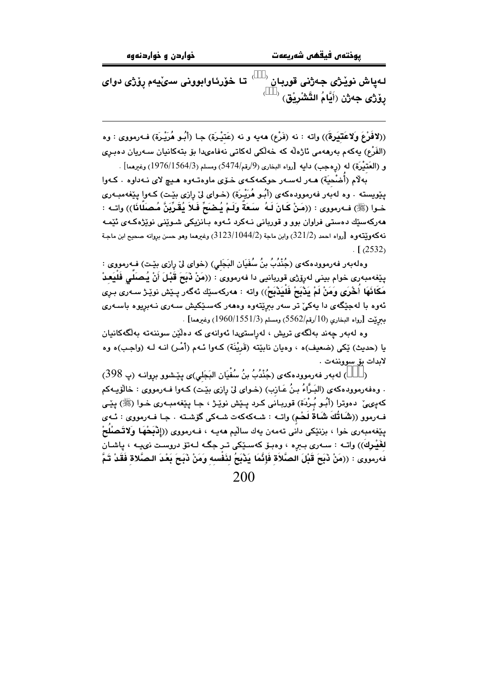تا خۆرئاوابوونى سىڭيەم رۆژى دواى لـهياش نويْژي جـهژني قوربـان پلاڑی جەژن (أَيَّامُ التَّشْرِيْق) <sup>(333)</sup>

((لافَوْعَ وَلاعَتِيَرةَ)) واته : نه (فَرْع) ههيه و نه (عَتيْرَة) جـا (أَبُـو هُرَيْـرَة) فـه رمووى : وه (الفَرْع) بِهكهم بەرھەمى ئاژەڵە كە خەلكى لەكاتى نەڧامىدا بۆ بتەكانيان سـەريان دەبـرى و (العَتَيْرَة) له (روحب) دايه [رواه البخاري (9/رقم/5474) ومسلم (1976/1564/3) وغيرهما] .

.<br>به لام (أُمْنُحيَة) هــهر لهسـهر حوكمهكـهى خـوّى ماوهتـهوه هـيـم لاى نـهداوه . كـهوا يێويسته . وه لهبُهر فهرموودهكهي (أَبُـو هُرَيْـرَة) (خـواي ليّ رازي بێـت) كـهوا يێغهمبـهري خـوا (ﷺ) فـﻪرمووى : ((مَنْ كَـانَ لَـهُ سَـعَةٌ ولَـمْ يُـضَحِّ فَـلاً يُقَرِّبَنَّ مُـصَلَّانَا)) واتـه : .<br>مەركەسێك دەستى فراوان بوو و قوربانى نـﻪكرد ئـﻪوە بـانزيكى شـوێنى نوێ<del>ژ</del>ەكـﻪ*ى* ئێمـﻪ نه كه ويُتّه وه  $\,$ [رواه احمد  $321/2$ ) وابن ماجة  $31/23/1044/2$ ) وغيرهما وهو حسن بروانه صحيح ابن ماجـة  $\sqrt{(2532)}$ 

وهلهبهر فهرموودهكهى (جُنْدُبُ بنُ سُفَيَانِ البَجَلي) (خواي ليّ رازي بيّت) فـهرمووي : يێغەمبەرى خوام بينى لەرۆژى قوربانيى دا فەرمووى : ((مَنْ ذَبَحَ قَبْلَ أَنْ يُـصَلَى فَلَيَعـدْ مَكَانَهَا أَخْرَى وَمَنْ لَمْ يَذْبَحْ فَلْيَذْبَحْ)) واته : هەركەسێك ئەگەر يـێش نوێـِژ سـەرى بـرى ئەوە با لەجێگەی دا يەكىٚ تر سەر بېرێتەوە وەھەر كەسـێكيش سـەرى نـەبريوە باسـەرى . [رواه البخاري (10/رقم/5562) ومسلم (1960/1551/3) وغيرهما] .

وه لەبەر چەند بەلگەي تريش ، لەراستىدا ئەوانەي كە دەلێن سوننەتە بەلگەكانيان يا (حديث) ێکي (ضعيف)ه ، وهيان نابێته (قَريْنَة) کـهوا ئـهم (أَمْـر) انـه لـه (واجـب)ه وه لابدات بۆ سووننەت .

) له به ر فه رموود هكه ي (جُنْدُبُ بنُ سُفْيَان البَجَلي)ي پِيِّشوو بروانـه (پ $398$ )  $\lambda$ . وهفهرموودهكهي (البَـرَّاءُ بـنُ عَـازب) (خـواي ليّ رازي بيّـت) كـهوا فـهرمووي : خالوّيـهكم كەبىي، دەوترا (أَبُـو بُـرْدَة) قوربـانى كـرد يـێش نوێـژ ، جـا يێغەمبـەرى خـوا (ﷺ) يێـي فەرموو ((**شَاتُكَ شَاةُ لَحْمِ**) واتــه : شــهكەكەت شــهكى گۆشــته . جـا فــهرمووى : ئــهى پێغەمبەرى خوا ، بزنێکى دانى تەمەن يەك سالْيم ھەيـە ، فــەرمووى ((إِذْبَحْهَا وَلاتَـصْلُحْ لغَيْرِكَ)) واتـه : سـهرى بـبره ، وهبـۆ كهسـێكى تـر جگـه لـهتۆ دروسـت نىيـه ، پاشـان فهرمووى : ((مَنْ ذَبَحَ قَبْلَ الصَّلاَة فَإِنَّمَا يَذْبَحُ لنَفْسه وَمَنْ ذَبَحَ بَعْدَ الصَّلاة فَقَدْ تَمَّ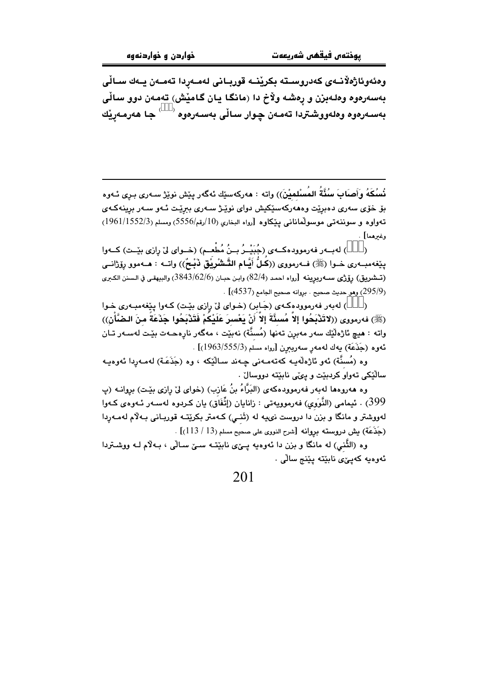وەئەوئاژەلانـەى كەدروسـتە بكرينــە قوربــانى لەمـەردا تەمـەن يــەك ســالْى بهسهرهوه وهلهبزن و رِهشه ولاْخ دا (مانگا یان گامیْش) تهمهن دوو سالّی بەسـەرەوە وەلەووشـتردا تەمـەن چـوار سـاڵى بەسـەرەوە <sup>(333)</sup> جـا ھەرمـەرێك

نُسُكَهُ وأَصِابَ سُنَّةُ المُسْلميْنَ)) واته : هەركەسێك ئەگەر يێش نوێژ سەرى بـرى ئـەوە بۆ خۆی سەری دەبریت وەھەركەسێكيش دوای نوی٘ـِژ سـەری بىریْـت ئـەو سـەر برینەكـەی تەواۋە و سوننەتى موسولمانانى يېڭاۋە [رواە البخارى (10/رقم/5556) ومسلم (1961/1552/3) وغيرهما] .

) لهبــهر فهرموودهكــهي (جُبَيْــرُ بــنُ مُطْعــم) (خــواي ليّ رازي بيّــت) كــهوا  $\lambda$ يێغەمبــەرى خــوا (ﷺ) فــەرمووى ((كُـلٌّ أَيَّـام التَّـشْرِيُّق ذَبْـحٌ)) واتــه : هــەموو رِۆرْانــى (تسشريق) رۆژى ســهربرينـه [رواه احمد (82/4) وابـن حبـان (3843/62/6) والبيهقـى في الـسنن الكـبرى . [295/9] وهو حديث صحيح . بروانه صحيح الجامع (4537)] .

) لهبهر فهرموودهکهی (جَابر) (خوای لیّ رازی بیّت) کهوا پیّفهمبهری خوا (ﷺ) فەرمورى ((لاتَدْبَحُوا إلاّ مُسنَّةَ إلاّ أَنْ بَعْسرَ عَلَيْكُمْ فَتَدْبَحُوا جَذَعَةً منَ الـضَّأْنِ)) واته : هيچ ئاژەڵێك سەر مەبرن تەنھا (مُسنَّة) نەبێت ، مەگەر نارەھـەت بێت لەسـەر تـان ئەوە (جَذَعَة) يەك لەمەر سەربېرن [رواء مسلم (1963/555/3)] .

وه (مُسنَّة) ئەو ئاژەلّەيـە كەتەمـەنى چـەند سـالێكە ، وە (جَذَعَـة) لەمـەرِدا ئەوەيـە سالّيْكى تەواو كردبيّت و پىِّى نابيّتە دووسالْ .

وه هەروەها لەبەر فەرموودەكەي (البَرَّاءُ بنُ عَازب) (خواي ليّ رازي بێت) بروانــه (پ 399) . ئيمامي (النُّوَوِي) فەرموويەتى : زانايان (إتِّفَاق) يان كـردوه لەسـەر ئـەوەي كـەوا لهووشتر و مانگا و بزن دا دروست نىيه له (تَنـي) كـهمتر بكرێتـه قوربـانى بـهلام لهمـهردا (جَذَعَة) بِش دروسته بروانه [شرح النووى على صحيح مسلم (13 / 113)] .

وه (الثُّني) له مانگا و بزن دا ئەوەبە يـێي نابێتـه سـێ سـاڵي ، بـهلاّم لـه ووشـتردا ئەوەيە كەپى*نى* نابێتە پێنج سالّى .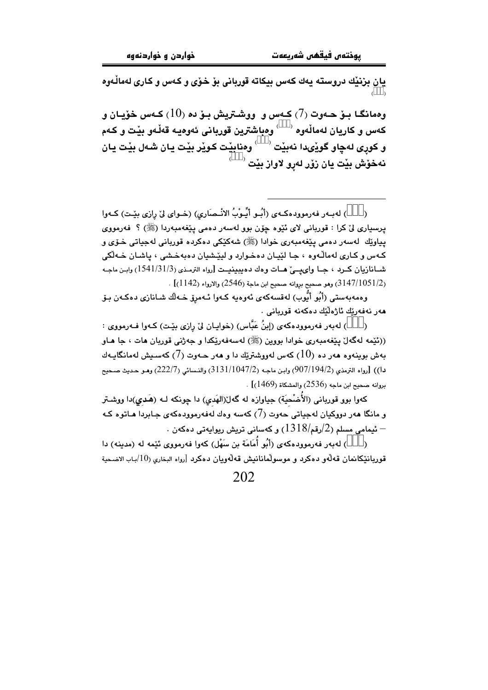.<br>يان بزنێك دروسته يەك كەس بيكاتە قوربانى بۆ خۆى و كـەس و كـارى لەماڵـەوە<br>(<sup>333)</sup>

وممانگـا بـوّ حـهوت (7) کـهس و ووشـتريش بـوّ ده (10) کـهس خوّيـان و كەس و كاريان لەمالّەوە <sup>(333)</sup> وەباشترين قوربانى ئەوەيـە قەلّـەو بێت و كـەم و کوری لهڇاو گوڏِيدا نهبيْت <sup>(333)</sup> ومنابيْت کويّر بيْت يان شـهل بيْت يان نهخۆش بێت یان زۆر لەرو لاواز بێت <sup>(333)</sup>

) لهبـهر فهرموودهكـهي (أُبـُـو أُبِّـوبُ الانْـصَارِي) (خـواي ليّ رازي بيّـت) كـهوا  $\lambda$ يرسياري ليٌ کرا : قورياني لاي ئَٽِوه چۆن بوو لهسهر دهمي پٽغهمبهردا (ﷺ) ؟ فهرمووي يپاوێك لەسەر دەمى يێغەمبەرى خوادا (ﷺ) شەكێكى دەكردە قوريانى لەجياتى خـۆي و کـهس و کـاری لهمالـّهوه ، جـا لێيـان دهخـوارد و ليێـشيان دهبهخـشي ، پاشـان خـهلکي شمانازيان كرد ، جما واي يميّ همات وهك دهيبينيت [رواه الترمذي (3/1/31/3) وابن ماجه (3147/1051/2) وهو صحيح بروانه صحيح ابن ماجة (2546) والارواء (1142)] .

وەمەبەستى (أَبُو أَيُّوب) لەقسەكەي ئەوەپە كـەوا ئـەمرِۆ خـەلّك شـانازى دەكـەن بـۆ ھەر نەفەرتك ئاژەلتك دەكەنە قوريانى .

) لەبەر فەرموودەكەي (إبنُ عَبَّاس) (خوايـان ليْ رازى بێت) كـەوا فـەرمووى :  $\lambda$ ((ئێمه لهگەلٚ یێغەمبەری خوادا بووین (ﷺ) لەسەفەرێکدا و جەژنی قوربان مات ، جا مـاو بهش بوينهوه ههر ده  $(10)$  کهس لهووشترتك دا و ههر حـهوت (7) کهسـيش لهمانگايـهك دا)) [رواه الترمذي (907/194/2) وابن ماجه (3131/1047/2) والنسائي (222/7) وهـو حـديث صـحيح .<br>يروانه صحيح ابن ماجه (2536) والمشكاة (1469) .

کهوا بوو قوربانی (الأُضْحيَة) جياوازه له گهلـ(الهَدي) دا چونکه لـه (هَديي)دا ووشـتر و مانگا هەر دووکیان لەجیاتی َحەوت (7) کەسە وەك لەفەرموودەکەی جـابردا ھـاتوە کـە  $\cdot$  - ئیمامی مسلم (2/رقم/ $1318$ ) و کهسانی تریش ریوایهتی دهکهن  $-$ 

) لهبهر فهرموودهكهي (أَنُو أُمَامَة بن سَهْل) كهوا فهرمووي ئيْمه له (مدينه) دا قوريانٽِکانمان قەلّەو دەکرد و موسولْمانانىش قەلّەويان دەکرد [رواء البخارى (10/باب الاضحية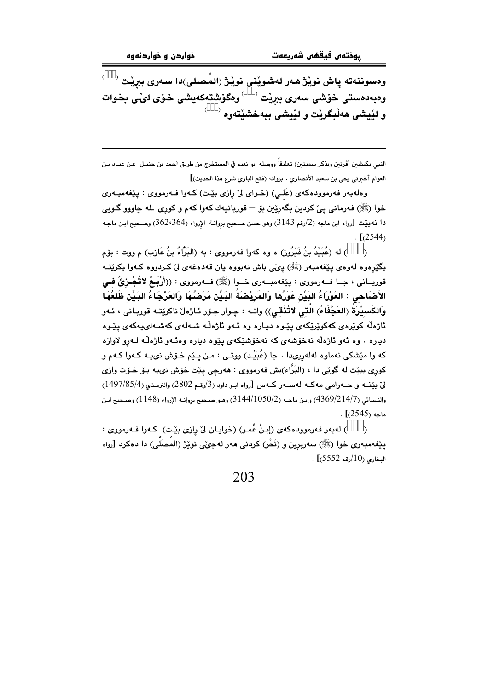ومسوننەتە پاش نوێڗْ ھەر لەشوێنى نوێڗٝ (المُصلى)دا سەرى ببرێت <sup>(333)</sup> وهبهدمستی خوشی سەری ببریت <sup>(333)</sup> ومگوشتەکەيشی خوّی لیّـی بخوات  $(333)$ و لٽيشي ههٽيگرٽت و لٽيشي بيهخشٽتهوه

النبي بكبشين أقَرنين ويذكر سمينين) تعليقاً ووصله ابو نعيم في المستخرج من طريق أحمد بن حنبـل عـن عبـاد بـن العوام أخبرني يحي بن سعيد الأنصاري . بروانه (فتح الباري شرع هذا الحديث)] .

وهلهبهر فهرموودهکهی (عَلی) (خـوای لیّ رازی بێت) کـهوا فـهرمووی : پێغهمبـهری خوا (ﷺ) فەرمانى پىّ كردىن بگەرِيّين بۆ – قوربانيەك كەوا كەم و كورِي لـه چاووو گـويى  $\mu$ دا نهبيّت  $\,$ رواه ابن ماجه  $\,$ رارقم  $3143\,$ رهو حسن صـحيح بروانـة  $\,$  الإرواء  $\,362$ ، $364)$  وصـحيح ابـن ماجـه  $\lbrack (2544)$ 

) له (عُبَيْدُ بنُ فَيْرُون) ه وه كهوا فهرمووي : به (البَرَّاءُ بنُ عَازب) م ووت : بۆم  $\lambda$ .<br>بگێڕەوە لەوەي پێغەمبەر (ﷺ) پىمنى باش نەبووە يان قەدەغە*ى* لىٰ كـردووە كـەوا بكرێتــە قوربــانى ، جــا فـــهرمووى : پێغهمبــهرى خــوا (ﷺ) فــهرمووى : ((أَرْبَـعٌ لاتُجْـزئُ فــى الأَصْاَحي : العَوْرَاءُ البَيِّنْ عَوَرُهَا وَالمَرِيْصَةُ البَيِّنْ مَرَضُهَا وَالعَرْجَاءُ البَيِّنْ ظَلعُهَا وَالكَسيْرَةُ (العَجْفَاءُ) الَّتى لاتُنْقى)) واتــه : چـوار جـۆر ئـاژەلْ ناكرێتــه قوربـانى ، ئــهو ئاژەڵە كوێرەى كەكوێرێكەى يێوە ديـارە وە ئـەو ئاژەڵە شـەلەى كەشـەلىيەكەى يێوە دباره . وه ئەو ئاژەلّە نەخۆشەي كە نەخۆشككەي بىيوە دبارە وەئـەو ئاژەلّـە لـەرو لاوازە که وا مٽشکي نهماوه لهلهريو،دا ، جا (عُبَيْد) ووتے : من بيٽم خـرٚش نويبـه کـهوا کـهـم و کوري ببێت له گوێی دا ، (البَرَّاء)يش فهرمووي : ههرچی پێت خۆش نىپه بـۆ خـۆت وازی ليّ منَّف و حــه رامي مه كــه لهســه ر كــه س [رواه ابـو داود (3/رقـم 2802) والترمـذي (1497/85/4) والنسائي (4369/214/7) وابن ماجه (3144/1050/2) وهو صبحيح بروانيه الإرواء (1148) وصبحيح ابن  $\cdot$  [(2545) .

) له به ر فه رمووده که ی (إِبنُ عُمر) (خوایان ليّ رازی بيّت) که وا فـه رمووی :  $\lambda$ پێِغەمبەرى خوا (ﷺ) سەربرِين و (نَحْر) كردنى ھەر لەجىّى نوێژ (المُصَلَّى) دا دەكرد [رواء  $(5552 \sqrt{10})$ البخاري (10/رقم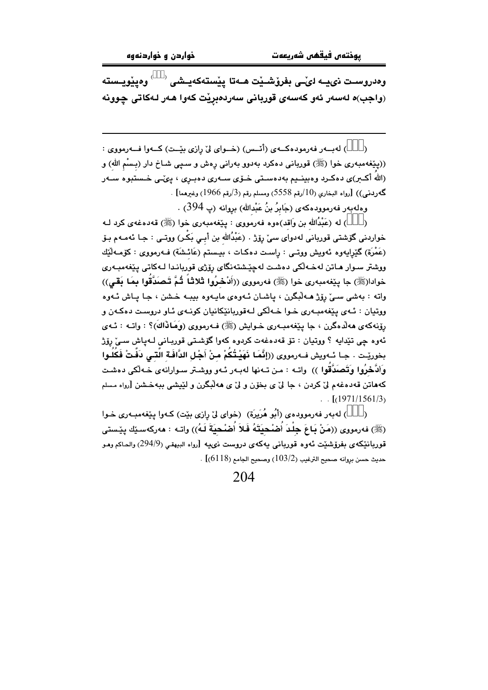وەدروسىت نىيــە لىْــى بفرۆشــێت ھــەتا پێستەكەيــشى <sup>(333)</sup> وەي<u>ێوي</u>ـستە (واجب)ه لەسەر ئەو كەسەي قوربانى سەردەبريت كەوا ھەر لـەكاتى چوونە

) لەببەر فەرمودەكبەي (أنبس) (خىواي لىْ رازى بيْت) كــەوا فــەرمووي :  $\lambda$ ((پێغهمبهري خوا (ﷺ) قورباني دهكرد بهدوو بهراني رِهش و سپي شـاخ دار (بـسْم الله) و (اللهُ أکـبر)ی دهکـرد وهبینــیم بهدهسـتی خــوّی ســهری دهبــرِی ، پیّــی خـستبوه ســهر  $[10, 10]$  كَـُورِدني)) [رواه البخاري (10/رقم 5558) ومسلم رقم (3/رقم 1966) وغيرهما]

وەلەبەر فەرموودەكەي (جَابِرُ بنُ عَبْدالله) بروانە (پ 394) .

) له (عَبْدُالله بن وَاقد)هوه فهرمووی : يێغهمبهری خوا (ﷺ) قهدهغهی کرد لـه خواردنی گۆشتی قوربانی لهدوای سی٘ رۆژ . (عَبْدُالله بن أبـی بَکْر) ووتـی : جـا ئهمـهم بـۆ (عَمْرَة) گَيْرِايهوه ئەويش ووتــى : رِاسـت دەكـات ، بيـستم (عَائـشَة) فــهرمووى : كۆمــهڵێك ووشتر سوار ماتن لهخـهلكي دهشت لهچێشتهنگاي رۆژي قوربانـدا لـهكاتي پێغهمبـهري خوادا(ﷺ) جا بِيّفهمبهري خوا (ﷺ) فهرمووي ((أَدْخَرُوا ثَلاثاً ثُمَّ تَصَدَّقُوا بِمَا بَقَى)) واته : بهشي سيِّ روِّژ هــه لُبگرن ، پاشـان ئـهوهي مايـهوه بيبـه خـشن ، جـا يـاش ئـهوه ووتيان : ئـهي پێغهمبـهري خـوا خـهڵکي لـهقوريانێکانيان کونـهي ئـاو دروست دهکـهن و رۆنەكەي ھەلدەگرن ، جا يێغەمبـەرى خـوايش (ﷺ) فـەرمورى (وَھَافَاكَ)؟ : واتــه : ئــەي .<br>ئەوە چى تێدايە ؟ ووتيان : تۆ قەدەغەت كردوە كەوا گۆشتى قوربـانى لـەپاش سـىٚ رِۆ<del>ژ</del> بخوريّت . جـا ئــهويش فــهرمووي ((إِنَّمَـا نَهَيْـتُكُمْ مـنْ أَجْـل الدَّافَـة الَّتـي دَفَّتْ فَكُلُـوا وَأَنَّحْرُوا وَتَصَدَّقُوا )) واتــه : مـن تــهنها لهبـهر ئـهو ووشـتر سـوارانهى خـهلّكى دهشـت .<br>كههاتن قهدهغهم ليٌ كردن ، جا ليٌ ي بخوّن و ليٌ ي ههالبگرن و ليّيشي ببهخشن [رواه مسلم  $\ldots$  [(1971/1561/3)

) لهبهر فهرموودهي (أَبُو هُرَيِرَة) ۖ (خواي ليِّ رازي بيِّت) كـهوا يـيِّغهمبـهري خـوا  $\lambda$ (ﷺ) فەرمورى ((مَنْ بَاعَ جِلْدَ أَصْحِيَتَهُ فَلاَ أَصْحِيَةَ لَـهُ)) واتـه : ھەركەسـێك يێستى قوربانێکەی بفرۆشێت ئەوە قوربانى يەکەی دروست نىيە [رواء البيهقى (294/9) والحاکم ومـو  $\sim$  حديث حسن بروانه صحيح الترغيب (103/2) وصحيح الجامع (6118)] .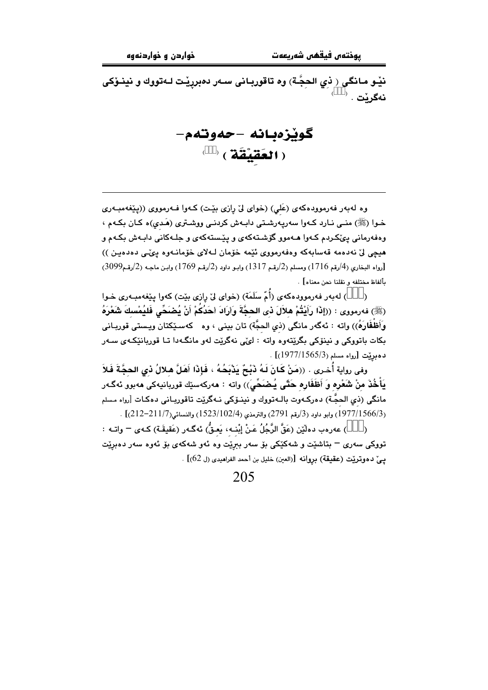نێو مـانگی ﴿ نَبِي الحِجَّـة) وه تاقوربـانی سـهر دهبرپێت لـهتووك و نينـوٚكی  $\overset{\cdot}{\mathbf{333}}$ نەگرێت .

گوٽزەبانە -حەوتەم- $^{(333)}$  ( العَقَيْقَة )

وه لهبهر فهرموودهکهی (عَلی) (خوای لیٌ رازی بیِّت) کهوا فـهرمووی ((پیِّغهمبـهری خـوا (ﷺ) منـي نـارد كـهوا سهريـهرشـتي دابـهش كردنـي ووشـتري (هَـدي)ه كـان بكـهم ، وهفهرماني پوێکردم کـهوا هـهموو گۆشـتهکهي و پێستهکهي و جلـهکاني دابـهش بکـهم و هيچي ليّ نهدهمه قەسابەكە وەفەرمووى ئێمە خۆمان لـﻪلاي خۆمانـﻪوە يىّ∠ى دەدەيـن ))  $(2099)$ رواه البخاري (4/رقم 1716) ومسلم (2/رقم 1317) وابـو داود (2/رقم 1769) وابـن ماجـه (2/رقم $(2996)$ بألفاظ مختلفه و نقلنا نحن معناه] .

) لهبهر فهرموودهكهي (أُمِّ سَلَمَة) (خواي ليّ رازي بيّت) كهوا بييّغهمبـهري خـوا  $\lambda$ (ﷺ) فەرمورى : ((إِذَا رَأَيْتُمْ هِلاَلَ ذي الحجَّةَ وَأَرَادَ أَحَدُكُمْ أَنْ يُضَضَّى فَليُمْسكَ شَعْرَهُ وَأَظْفَارَهُ)) واته : ئەگەر مانگى (ذي الحجَّة) تان بينى ، وه كەسـێكتان ويـستى قوربـانى بکات باتووکی و نینۆکی بگرێتەوه واته : لێی نەگرێت لەو مانگەدا تـا قوربانێکەی سـەر  $. [1977/1565/3)$  دهدنت [رواه مسلم

وفي رواية أُخـرى . ((مَنْ كَـانَ لَـهُ ذَبْـِحٌ يَذْبَحُـهُ ، فَإِذَا أَهَلَّ هـلالُ ذي الحجَّةَ فَلاَ يَأْخُذَ منْ شَعْرِه وَ أَظَفَارِه حَتَّى يُضَحِّيَ)) وإنه : مەركەسێك قوريانيەكى مەبور ئەگـەر مانگی (ذي الحجَّـة) دهرکـهوت بالـهتووك و نينـۆکی نـهگرێت تاقوربـانی دهکـات [رواه مسلم (1977/1566/3) وابو داود (3/رقم 2791) والترمذي (1523/102/4) والنسائي(211/7-212)] .

) عەرەب دەڵێن (عَقَّ الرَّجُلُ عَنْ إِبْنـهِ، بَعقُّ) ئەگـەر (عَقيقَـة) كـەي <sup>ــ</sup> واتـه :  $\lambda$ تووکي سهري – پتاشٽت و شهکٽکي پو سهر پيرٽ وه ئهو شهکهي پو ئهوه سهر دهيرٽت يـِيِّ دهوتريِّت (عقيقة) بروانه [(العين) خليل بن أحمد الفراهيدي (ل 62)] .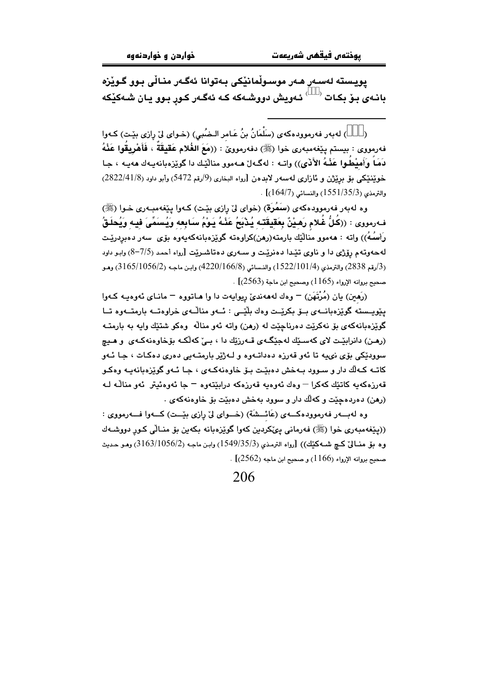يويسته لەسەر ھەر موسىولْمانێكى بەتوانا ئەگەر منـالْي بـوو گـوێزە بانـهي بـۆ بكـات <sup>(333)</sup> ئـهويش دووشـهكه كـه ئهگـهر كـور بـوو يـان شـهكێكه

) لهبهر فهرموودهكهي (سَلْمَانُ بنُ عَـامر الـضُبي) (خـواي ليْ رازي بيْـت) كـهوا  $\lambda$ فهرمووي : بيستم ييْغهمبهري خوا (ﷺ) دفهرموويّ : ((مَعَ الغُلام عَقيقَةَ ، فَأَهْرِيقُوا عَذْهُ دَمَاً وَأَمِيْطُوا عَذْهُ الأَذَى)) واتـه : لهگـهاڵ هـهموو منالّيْك دا گويزهبانهيـهك ههيـه ، جـا خويننيكي بق برِيْژن و ئازاري لهسهر لابدهن [رواه البخاري (9/رقم 5472) وأبو داود (2822/41/8)  $(164/7)$ والترمذي (1551/35/3) والنسائي (164/7)

وه لهبهر فهرموودهکهی (سَمُرَة) (خوای لیٌ رِازی بیِّت) کـهوا پیِّغهمبـهری خـوا (ﷺ) فـهرمووى : ((كُلُّ غُلام رَهِيْنٌ بِعَقِيقَته يُذْبَحُ عَنْهُ يَوْمُ سَابِعِهِ وَيُسَمِّىَ فِيهِ وَيُحلَقُ رَأسُهُ)) واته : هەموو منالّيْك بارمتە(رهن)كراوەتە گويْزەبانەكەپەوە بۆي سەر دەبردريْت لهحهوتهم رۆژى دا و ناوى تێدا دەنرێت و سـهرى دەتاشىرێت [رواه أحمد (7/5–8) وابـو داود (3/رقم 2838) والترمذي (1522/101/4) والنسائي (8/166/6) (4220/166) وابـن ماجـه (3/165/1056) وهـو . [2563) - منحيح بروانه الإرواء (1165) وصحيح ابن ماجة (2563)

(رَهَينِ) يان (مُرْتَهَنِ) – وهك لهههنديِّ ريوايهت دا وا هـاتووه – مانـاي ئهوهيـه كـهوا یێویسته گوێزهبانسهی بیو بکریّت وهك بلّیّی : ئسهو منالّسهی خراوهتسه بارمتسهوه تسا گوێزەبانەكەي بۆ نەكرێت دەرناچێت لە (رھن) واتە ئەو مناڵە وەكو شتێك واپە بە بارمتــﻪ (رمن) دانرابێت لای کهسـێك لهجێگـهی قــهرزێك دا ، بـیِّ کهڵکـه بۆخاوهنهکـهی ۖ و هـیچ سوودٽکي پوَي نيمه تا ئهو قهرزه دهداتـهوه و لـهژێر پارمتـهيي دهري دهکـات ، جـا ئـهو کاتـه کـهالْك دار و سـوود بـهخش دهبێـت بـوّ خاوهنهکـهى ، جـا ئـهو گوێزهبانهيـه وهکـو قەرزەكەيە كاتێك كەكرا – وەك ئەوەيە قەرزەكە درابێتەوە – جا ئەوەئيتر ئەو مناڵە ك (رهن) دهردهجٽت و کهالُك دار و سوود پهخش دهيٽت يۆ خاوهنهکهي .

وه لهبسهر فهرموودهكسهى (عَائِسشَة) (خسواي ليِّ رازي بيِّست) كسهوا فسهرمووي : ((پٽغهمبەری خوا (ﷺ) فەرمانى پېڭكردېن كەوا گويزەبانە بكەين بۆ منـالّى كـور دووشـەك وه مِقْ مِنْسَالِيٌ كِيم شُمَهِكْيْكِ)) [رواه الترمذي (1549/35/3) وابن ماجِه (2/1056/2) وهـو حديث . صحيح بروانه الإرواء (1166) و صحيح ابن ماجه (2562)] .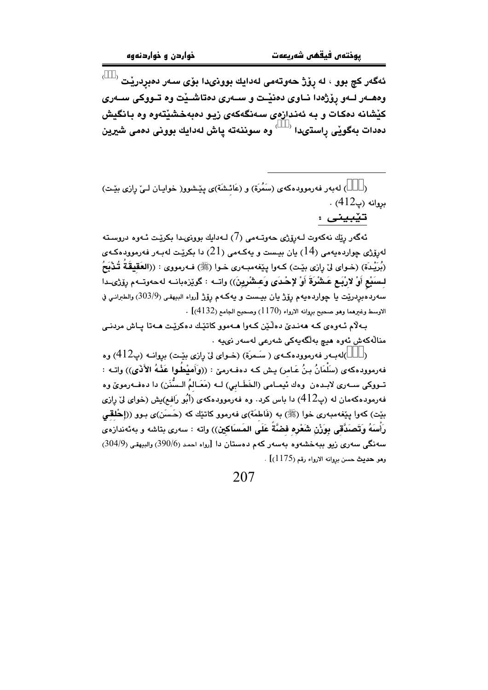ئەگەر كچ بوو ، لە ڕۆژ ھەوتەمى لەدايك بوونىدا بۆى سەر دەبردرێت <sup>(333)</sup> وههــهر لــهو روِّژهدا نــاوى دهنيـْـت و ســهرى دهتاشــيْت وه تــووكى ســهرى کیشانه دمکات و به ئەندازەی سەنگەکەی زیـو دەبەخشیتەوه وه بـانگیش دهدات بهگویی راستىدا <sup>(333)</sup> وه سوننهته پاش لهدایك بوونی دهمی شیرین

) لهبهر فهرموودهكهى (سَمُرَة) و (عَائشَة)ى پِيْشوو( خوايـان لـيٌ رِازي بِيْـت)  $. (412)$  بروانه (پ

تێبینی :

ئەگەر رێك نەكەوت لـﻪرۆژى ھەوتـﻪمى (7) لـﻪدايك بوونىدا بكرێت ئـﻪوە دروسـتە لەرۆژى چواردەيەمى (14) يان بيـست و يەكـەمى (21) دا بكرێـت لەبـەر فەرموودەكـەي (بُرَيْدَة) (خـواي ليْ رازي بيّـت) كـهوا يـيّغهمبـهري خـوا (ﷺ) فـهرمووي : ((العَقيقَةُ تُـدْبَحُ لسَنِّع أَوْ لارْبَع عَشْرَةَ أَوْ لإحْدَى وَعشْرِينَ)) واتــه : گوێزەبانــه لهحەوتــهم رۆژىــدا سەردەبردرييت يا چواردەيەم رۆژ يان بيىست و يەكـەم رۆژ [رواه البيهقى (303/9) والطبرانـي في . الاوسط وغيرهما وهو صحيح بروانه الارواء (1170) وصحيح الجامع (4132)]

بـه لام ئـهوهي كـه هەنـدىٰ دەڵێن كـهوا هـهموو كاتێك دەكرێت هـهتا يـاش مردنـى منالّەكەش ئەرە ھىچ بەلگەيەكى شەرعى لەسەر نىيە .

)لهبـهر فهرموودهكـهي ( سَـمرَة) (خـواي ليّ رازي بيّـت) بروانـه (پ412) وه  $\lambda$ فهرموودهكهى (سَلْمَانُ بِنُ عَـامر) بِـش كـه دهفـهرميّ : ((وَأَميْطُوا عَذْهُ الأَذَى)) واتـه : تـووکی سـهری لابـدهن وهك نٌيمـامی (الخَطَـابي) لــه (مَعَـالمُ الـسُّنَن) دا دهفـهرمویؒ وه فهرمودهکهمان له (پ $412$ ) دا باس کرد. وه فهرموودهکهی (أَبُو رَافع)یش (خوای لیٌ رِازی بيّت) كەوا يـێغەمبەرى خوا (ﷺ) بە (فَاطمَة)ى فەرمور كاتبيّك كە (حَـسَن)ى بـوو ((إحْلقى رَأْسَهُ وَتَصَدَّقَى بِوَزْنِ شَعْرِه فَضَّةً عَلَى المَسَاكِين)) واته : سەرى بتاشه و بەئەندازەى سەنگى سەرى زيو ببەخشەوە بەسەر كەم دەستان دا [رواء احمد (390/6) والبيهقى (304/9) وهو حديث حسن بروانه الارواء رقم (1175)] .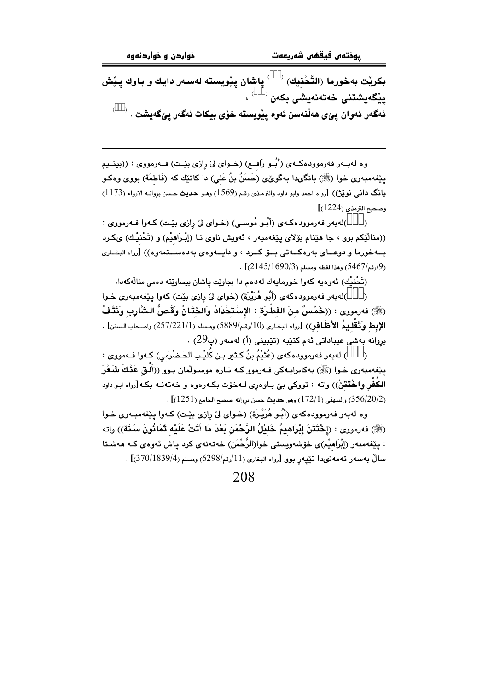بکریْت بەخورما (التَّحْنِیك) <sup>(333)</sup> پاشان پیْویستە لەسەر دایك و باوك پیْش<br>پیْگەیشتنی خەتەنەیشی بکەن <sup>(333)</sup> ، ئەگەر ئەوان پێى ھەڵنەسن ئەوە پێويستە خۆى بيكات ئەگەر يێگەيشت .  $^{(333)}$  .

وه لهبــهر فهرموودهكــهى (أبُــو رَافــع) (خــواى ليّ رِازى بيّــت) فــهرمووى : ((بينــيم پێفەمبەرى خوا (ﷺ) بانگىدا بەگوێى (حَسَنُ بنُ عَلى) دا كاتێك كە (فَاطمَة) بووى وەكـو بانگ دانمی نوێؿ)) [رواه احمد وابو داود والترمذی رقم (1569) وهـو حـدیث حـسن بروانــه الارواء (1173) وصحيح الترمذي (1224)] .

)لهبهر فهرموودهکهی (أبُو مُوسى) (خوای ليّ رِازی بێت) کهوا فـهرمووی : ((منالٌيْكم بوو ، جا هێنام بۆلای يێغەمبەر ، ئەويش ناوی نـا (إبْـرَاهيْم) و (تَحْنيْك) ىكـرد بــهخورما و دوعــای بهرهکــهتی بـــۆ کـــرد ، و دايـــهوهی بهدهســـتمهوه)) [رواه البخــاری . (9/رقم/5467) وهذا لفظه ومسلم (1690/3145)] .

(تَحْنِيْك) ئەوەيە كەوا خورمايەك لەدەم دا بجاويْت ياشان بيساويّتە دەمى منالْەكەدا.

)لەبەر فەرموودەكەي (أَبُو هُرَيْرة) (خواي ليْ رازى بِيْت) كەوا يِيْغەمبەرى خـوا (ﷺ) فەرمورى : ((خَمْسٌ منَ الفَطْرَةِ : الإسْتَحْدَادُ وَالحَتَانُ وَقَصُّ الشَّارِبِ وَنَتْفُ **الإبط وَتَقْليمُ الأَظَافْرِ**)) [رواه البخارى (10/رقم/5889) ومسلم (257/221/1) واصحاب السنن] . بروانه بەشى عيباداتى ئەم كتێبە (تێبينى (أ) لەسەر (پ29) .

) لهبهر فهرموودهكهي (عُثَيْمُ بنُ كِثْيَرِ بنِ كُلِّبِ الحَضْرَمِي) كِـهوا فِـهمووي :  $\lambda$ یێغەمبەری خـوا (ﷺ) بەكابرايـەكى فـەرموو كـە تـازە موسـولْمان بـوو ((أَلْـق عَذْكَ شَعْرَ الكُفْرِ وَاخْتَتْنْ)) واته : تووكي بيّ بـاوهري لـهخوّت بكـهرهوه و خهتهنـه بكـه[رواه ابـو داود . [356/20/2) والبيهقي (172/1) وهو حديث حسن بروانه صحيح الجامع (1251)] .

وه لهبهر فهرموودهکهی (أَبُـو هُرَيْـرَة) (خـوای لِّیْ رازی بِیْـت) کـهوا ییْفهمبـهری خـوا (ﷺ) فەرمورى : (إِخْتَتَنَ إِبْرَاهِيمُ خَلَيْلُ الرَّحْمَنِ بَعْدَ مَا أَتَتْ عَلَيْه ثَمَانُونَ سَنَة)) واته : يێغەمبەر (إبْرَاهيْم)ى خۆشەوپستى خوا(الرَّحْمَن) خەتەنەي كرد ياش ئەوەي كـە ھەشـتا سالٌ بهسهر تهمهنىدا تيّيهر بوو [رواه البخارى (11/رقم/6298) ومسلم (370/1839/4)] .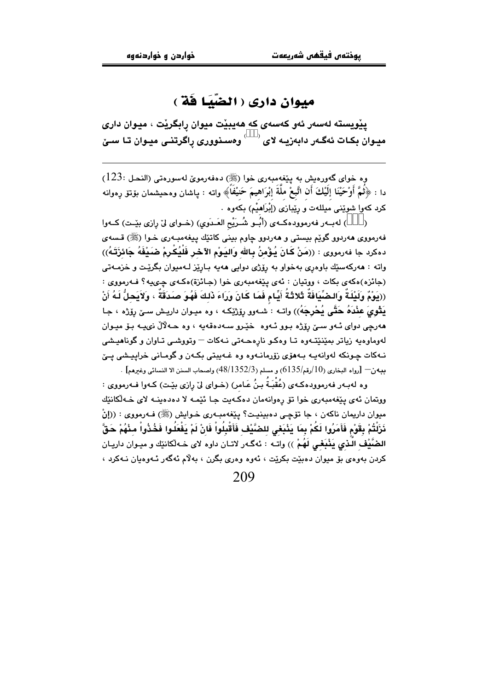### ميوان داري ( الضّيّا فَة )

يێويسته لەسەر ئەو كەسەي كە ھەيبێت ميوان رابگرێت ، ميوان دارى .<br>میـوان بکـات ئهگـهر دابهزیـه لای <sup>(333)</sup> وهسـنووری ړاگرتنـی میـوان تـا سـێ

وه خواي گەورەيش بە يێغەمبەرى خوا (ﷺ) دەفەرموێ لەسورەتى (النحل :123) دا : ﴿ثُمَّ أُوْحَيْنَا إِلَيْكَ أَنِ اتَّبِعْ مِلَّةَ إِبْرَاهِيمَ حَنِيْفَاً﴾ وإنه : ياشان وهحيشمان بۆتۆ رەوإنه كرد كهوا شويْنى ميللهت و ريِّبازى (إِبْرَاهِيْم) بِكَهوه .

) لهبـهر فهرموودهكـهى (أَبُــو شُــرَيْح العَـدَوى) (خــواى ليّ رازي بيّـت) كــهوا فهرمووي ههردوو گوێم بيستي و ههردوو چاوم بيني کاتێك پيغهمبـهري خـوا (ﷺ) قـسهي دهكرد جا فەرمورى : ((مَنْ كَانَ يُؤْمِنُ بِالله وَاليَوْمِ الآخر فَلْيُكْرِمْ صَيْفَهُ جَائزَتَـهُ)) واته : هەركەسێك باوەرى بەخواو بە رۆژى دوايى هەيە بـارێز لـەمپوان بگرێت و خزمــەتى (جائزه)هکهي بکات ، ووتيان : ئهي پيغهمبهري خوا (جائزة)هکهي چيپيه؟ فـهرمووي : ((يَوْمٌ وَلَيْلَةٌ وَالضِّيَّافَةٌ ثَلاثَةُ أَيِّامٍ فَمَا كَانَ وَرَاءَ ذَلِكَ فَهُوَ صَدَقَةٌ ، وَلاَيَحِلُّ لَهُ أَنْ يَقُوىَ عَنْدَهُ حَتَّى يُحْرِجَهُ)) واتــه : شــهوو رۆژێِکـه ، وه میـوان داریـش سـێ رۆژه ، جـا هەرچى دواى ئەو سىێ رۆژە بوو ئەوە خێرو سەدەقەيە ، وە حـەلالٌ نىيـە بـۆ ميـوان لەوماوەيە زياتر بمێنێتەوە تـا وەكـو نارەھـەتى نـﻪكات – وتووشـى تـاوان و گوناھيـشى نبهکات جونکه لهوانهیه پیهوری زوّرمانیهوه وه غیهبتی یکهن و گومیانی خرابیشی ییّ  $\sim[135]$ بيهن $-$  [رواه البخاري (10/رقم/6135) و مسلم (3/1352/3) واصحاب السنن الا النسائي وغ $\sim$ هم]

وه لهبـهر فهرموودهكـهى (عُقْبَـةُ بـنُ عَـامر) (خـواى ليّ رِازى بيّـت) كـهوا فـهرمووى : ووتمان ئەي يېغەمبەرى خوا تۆ رەوانەمان دەكەبت جا ئێمە لا دەدەبنــە لاي خــەلْكانێك ميوان داريمان ناکهن ، جا تۆچى دەبينيت؟ يێغەمبەرى خـوايش (ﷺ) فـهرمووى : ((إنْ نَزَلْتُمْ بِقَوْمِ فَأَمَرُوا لَكُمْ بِمَا يَثْبَغي للضَّيْفِ فَأَقْبِلُواْ فَانْ لَمْ يَفْعَلُوا فَخُذُواْ مثْهُمْ حَقَّ الضَّيْفِ الَّذِي يَذْبَعْي لَهُمْ )) واتــه : ئـهگـهر لاتــان داوه لاي خــهلْكانێك و ميــوان داريــان کردن بهوهي بۆ ميوان دەبێت بکرێت ، ئەوە وەرى بگرن ، بەلام ئەگەر ئـەوەيان نـەکرد ،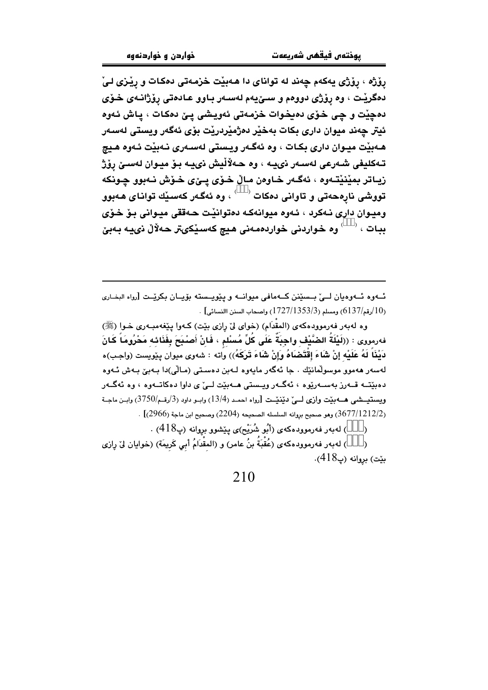رِوْژه ، رِوْژی یهکهم چهند له توانای دا هـهبیْت خزمـهتی دهکـات و رِیْـزی لـیْ دهگریْت ، وه روّژی دووهم و سـێیهم لهسـهر بـاوو عـادهتی روّژانـهی خـوّی دمڃيّت و چي خرّي دميخوات خزمهتي ئهويشي يـێ دمكات ، ياش ئهوه ئيتر چەند ميوان دارى بكات بەخێر دەژمێردرێت بۆى ئەگەر ويستى لەسەر هــهبيّت ميــوان داري بكـات ، وه ئهگــهر ويـستي لهســهري نــهبيّت ئــهوه هـيچ تـهكليفي شـهرعي لهسـهر ذييـه ، وه حـهلأليش ذييـه بـوْ ميـوان لهسـيْ روْژ زيـاتر بمێنێتـهوه ، ئهگـهر خـاوهن مـاڵ خـۆی پـێی خـۆش نـهبوو چـونکه .<br>تووشی نارهحهتی و تاوانی دمکات <sup>(333)</sup> ، وه ئهگهر کهسیّك توانای هـهبوو وميوان داري نـهكرد ، ئـهوه ميوانـهكـه دهتوانيّت حـهققي ميـواني بـوّ خـوّي ببات ، <sup>(333)</sup> وه خواردنی خواردهمەنی هیچ کەسێکىتر حەلاّلْ نىيە بەبێ

ئــهوه ئــهوميان لــيّ بــسێنن كــهمافي ميوانــه و پێويــسته بۆيــان بكرێـت [رواه البخـاري . (10/رقم/6137) ومسلم (1727/1353) وإصحاب السنن االنسائي] .

وه لهبهر فهرموودهکهی (المقْدَام) (خوای لیْ رِازی بیْت) کـهوا پی٘فهمبـهری خـوا (ﷺ) فهرمووى : ((لَيْلَةُ الضَّيْف واجبَةٌ عَلَى كُلِّ مُسْلِم ، فَانْ أَصْبَحَ بِفَنَائِهِ مَحْرُومَاً كَانَ دَيْنَاً لَهُ عَلَيْه إنْ شَاءَ إقْتَضَاهُ وَإِنْ شَاءَ تَرَكَهُ)) واته : شەوى ميوان پێويست (واجب)ه لەسەر ھەمور موسولمانێك . جا ئەگەر مايەرە لـەبن دەسـتى (مـالّى)دا بـەبێ بـەش ئـەرە دهيٽته قيهرز پهستهريوه ، ئهگيهر وييستي هيهيٽت لييّ ي داوا دهکاتيهوه ، وه ئهگيهر ويستبيشي هــهبيّت وإزي لــيّ دبّنيّـت [رواه احمـد (13/4) وابـو داود (3/رقـم/3750) وابـن ماجـة . 3677/1212/2) وهو صحيح بروانه السلسله الصحيحه (2204) وصحيح ابن ماجة (2966)] .

) له به ر فه رموود هکه ی (أَبُو شُرَیْح)ی پِیْشوو بروانه (پ418) .  $\overline{)}$ 

) لهبهر فهرموودهكهى (عُقْبَةُ بنُ عامر) و (المقْدَامُ أبي كَريمَة) (خوايان ليْ رازي  $\overline{)}$  $(418)$ بيّت) بروانه (پ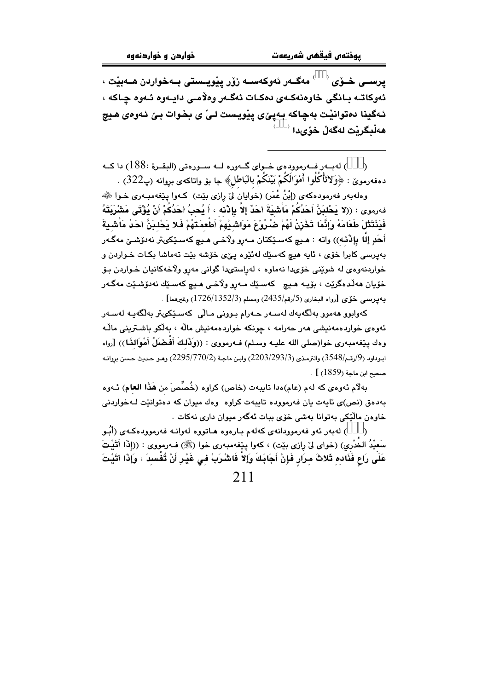يرســي خــۆي <sup>(333)</sup> مەگــەر ئەوكەســە زۆر يێويــستى بــەخواردن ھــەبێت ، ئەوكاتــه بــانگى خاوەنەكــەي دەكــات ئەگــەر وەلاّمــى دايــەوە ئــەوە چــاكـه ، ئـهگينا دهتوانيْت بهچاكه بـهييٰي ييْويست لـيْ ي بخـوات بـيْ ئـهوهي هـيچ ھەڵبگرێت لەگەڵ خۆىدا <sup>(333</sup>َ

) لهبـهر فـهرموودهى خـواى گـهوره لــه سـورهتى (البقـرة :188) دا كــه  $\lambda$ دهفهرمويّ : ﴿وَلاتَأْكُلُوا أَهْوَالَكُمْ بَيْنَكُمْ بِالْبَاطْلِ﴾ جا بۆ واتاكەي بروانە (پ322) .

وهلهبهر فهرمودهکهی (إِبْنُ عُمَرٍ) (خَوايان لَیْ رازی بِیْت) کـهوا بِیْغهمبـهری خـوا ﷺ فەرموى : ((لا يَحْلبَنَّ أَحَدُكُمْ مَاشْيَةَ أَحَدٌ إلاَّ بِإِدْنه ، أَ يُحبُ أَحَدُكُمْ أَنْ يُؤْتَى مَشْرَبَتَهُ فَيَنْتَثَلَ طَعَامَهُ وَإِنَّمَا تَخْزِنُ لَهُمْ ضُرُوْعَ مَوَاشَيْهِمْ أَطْعِمَتَهُمْ فَلا يَحْلِبَنَّ احَدُ مَاشِيةَ أَحَدِ إِلَّا بِإِذْنِهِ)) واته : هـيـچ كهسـێِكتان مـهرو ولاّخـي هـيـچ كهسـێِكىتر نهدوٚشـێ مهگـهر بهيرسي کابرا خوّي ، ئايه <mark>مي</mark>چ کهسێك لهئێوه يێي خوّشه بێت تهماشا بکـات خـواردن و خواردنهوهي له شويني خۆىدا نهماوه ، لەراستىدا گوانى مەرو ولاخەكانيان خـواردن بـۆ خۆيان ھەڭدەگرێت ، بۆيـﻪ ھـيـچ كەسـێك مـﻪرو ولاّخـى ھـيـچ كەسـێك نەدۆشـێت مەگـﻪر به يرسمي خوّى [رواه البخاري (5/رقم/2435) ومسلم (1726/1352/3) وغيرهما] .

کەوابو<mark>و م</mark>ەموو بەلگەيەك لەسـەر حـەرام بـوونى مـالّى كەسـێكىتر بەلگەيـە لەسـەر ئەوەي خواردەمەنىشى ھەر حەرامە ، چونكە خواردەمەنىش مالە ، بەلكو باشترىنى مالّـە وهك ييْغەمبەرى خوا(صلى الله عليـه وسـلم) فــه(مووى : ((وَذَلكَ أَفـضَلُ أَهْوَالنَّـا)) [رواه ابيوداود (9/رقم/3548) والترمذي (2203/293/3) وابين ماجـة (2295/770/2) وهـو حـديث حـسن بروانـه  $\cdot$  [  $(1859)$  مبجد ابن ماجة ( $\cdot$ 

بِهِلْام ئەوەي كە لەم (عام)ەدا تايبەت (خاص) كراوە (خُصِّصَ من هَذَا العام) ئـەوە بهدهق (نص)ی ئابهت بان فهرمووده تابیهت کراوه وهك میوان كه دهتوانيّت لـهخواردنی خاوەن مالْٽِكى پەتوانا پەشى خۆي بيات ئەگەر مېوان دارى نەكات .

( ) لەبەر ئەو فەرموودانەي كەلەم بـارەوە ھـاتووە لەوانـە فەرموودەكـەي (أَبُـو سَعيْدُ الخَدْري) (خواى لى رِازى بيّت) ، كەوا پيّغەمبەرى خوا (ﷺ) فــهرمووى : ((إِذَا أَتَيْتَ عَلَى رَاعٍ فَذَادِهِ ثَلاثَ مِرَارٍ فَإِنْ أَجَابَكَ وَإِلاَّ فَاشْرَبْ فِي غَيْرِ أَنْ تُفْسِدَ ، وَإِذَا أتَيْتَ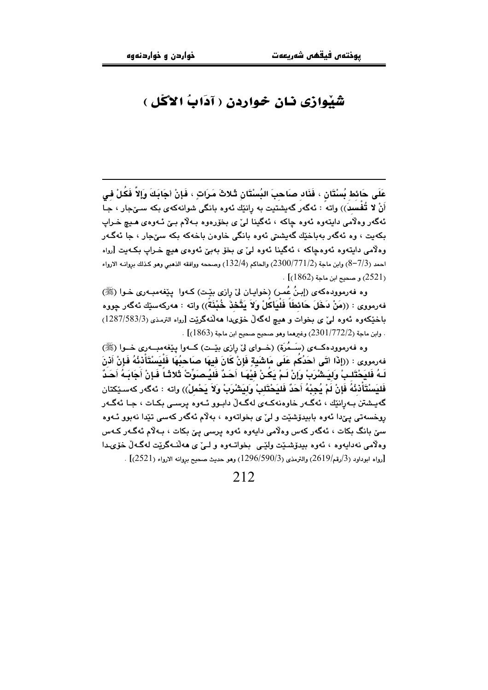### شَبْوازي نان خواردن ( آدَابُ الأكُل )

عَلَى حَائط بُسْتَان ، فَذَاد صاحبَ البُسْتَانِ ثَـٰلاثَ مَرَاتٍ ، فَإِنْ أَجَابَكَ وَإِلاَّ فَكُلْ في أَنْ لا تُفْسَدَ)) واته ً : ئەگەر گەيشتيت بە رانێك ئەوە بانگى شوانەكەي بكە سىێجار ، جـا ئهگەر وەلامى دايتەوە ئەوە چاكە ، ئەگينا لىٰ ي بخۆرەوە بـەلام بـىٰ ئـەوەي ھـيـ خـراپ بکەيت ، وه ئەگەر بەباخێك گەيشتى ئەوە بانگى خاوەن باخەكە بكە سىٰجار ، جا ئەگـەر وهلامي دايتەوه ئەوەجاكە ، ئەگينا ئەوە لىؒ ى بخۆ بەبىؒ ئەوەي ھيچ خىراپ بكەيت [رواه احمد (7/3–8) وابن ماجة (2300/771/2) والحاكم (132/4) وصححه ووافقه الذهبي وهو كذلك بروانــه الارواء  $(1862)$ و صحيح ابن ماجة ( $(2521)$ 

وه فهرموودهكهي (إينُ عُمر) (خوايان ليِّ رازي بيِّت) كـهوا بييِّغهمبـهري خـوا (ﷺ) فەرمووى : ((مَنْ دَخَلَ حَائطَاً فَلْيَأْكَلْ وَلاَ يَتَّحْذَ خُنْنَةً)) واتە : ھەركەسێك ئەگەر چووە باخٽِکەوە ئەوە لى' ي بخوات و هيچ لەگەلٌ خۆپىدا ھەلّنەگرێت [رواه الترمذي (3/583/3/1287) . وابن ماجة (2301/772/2) وغيرهما وهو صحيح صحيح ابن ماجة (1863)] .

وه فهرموودهکـهي (سَـمُرَة) (خــواي ليّ رازي بيّـت) کــهوا پيٽغهمبــهري خــوا (ﷺ) فەرمورى : ((إِذَا أَتَى أَحَدُكُم عَلَى مَاشَيةٍ فَإِنْ كَانَ فِيهَا صَاحِبُهَا فَلْيَسْتَأْذِنْهُ فَإِنْ أَنْنَ لَـهُ فَليَحْتَلـبْ وَليَـشْرَبْ وَإِنْ لَـمْ يَكَـنْ فيْهَـا أَحَـدٌ فَليُـصَوِّتْ ثَلاثَـاً فَـإِنْ أَجَابَـهُ أَحَدٌ فَليَسْتَأَدْنُهُ فَإِنْ لَمْ يُجِبْهُ أَحَدٌ فَليَحْتَلبْ وليَشْرَبْ ولاَ يَحْملْ)) واته : ئەگەر كەسـێكتان گەيــشتن بــەرانێك ، ئەگــەر خاوەنەكــەي لەگــەلّ دابـوو ئــەوە پرســى بكـات ، جـا ئەگــەر روخسەتى يېْدا ئەوە بابيدۆشێت و ليْ ي بخواتەوە ، بەلام ئەگەر كەسى تێدا نەبوو ئـەوە سێ بانگ بکات ، ئەگەر کەس وەلاّمى دايەوە ئەوە پرسى يێ بکات ، بـﻪلاّم ئەگـﻪر کـﻪس وهلامي نهدايهوه ، ئەوه بيدۆشێت ولێي بخواتـهوه و لـئ ی هەڵنـهگرێت لهگـهڵ خۆی1دا . [رواه ابوداود (3/رقم/2619) والترمذي (3/590/590) وهو حديث صحيح بروانه الارواء (2521)] .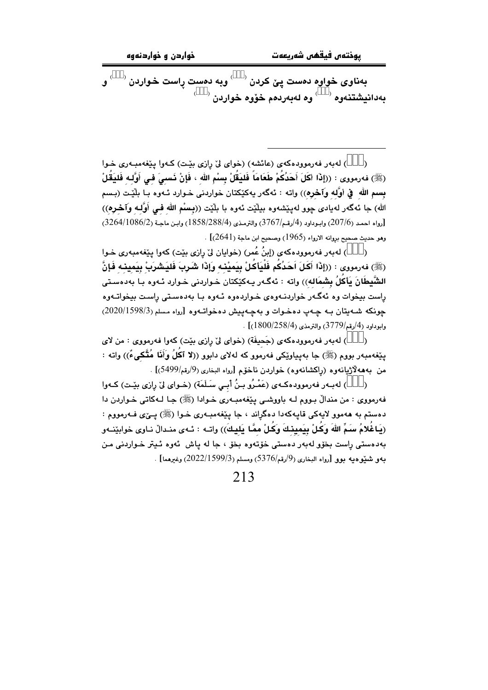بهناوی خواوه دهست پێ کردن <sup>(333)</sup> وبه دهست راست خواردن <sup>(333)</sup> و .<br>بەدانيشتنەوە <sup>(333)</sup> وە لەبەردەم خۆوە خواردن <sup>(333)</sup>

) لهبهر فهرموودهكهى (عائشه) (خواى ليّ رازى بيّت) كـهوا ييّغهمبـهرى خـوا  $\lambda$ (ﷺ) فەرمورى : ((إِذَا أَكَلَ أَحَدُكُمْ طَعَامَاً فَليَقُلْ بِسْمِ الله ، فَإِنْ ذَسبِيَ في أَوَّلـه فَليَقُلْ بِسمِ اللهِ ۖ فِي أُوَّلِهِ وآخرِهِ)) واته : ئهگهر يهكێكتان خواردني خـوارد ئـهوه بـا بلَّيْـت (بِـسم الله) جا ئهگەر لەيادى چوو لەيێشەوە بيلێت ئەوە با بلێت ((بِـسْم الله فـي أَوَّلـه وآخـرە)) [رواه احمد (207/6) وابوداود (4/رقم/3767) والترمذي (1858/288/4) وابن ماجة (3264/1086/2) وهو حديث صحيح بروانه الارواء (1965) وصحيح ابن ماجة (2641)] .

) لهبهر فهرموودهکهی (إبنُ عُمر) (خوایان لیٌ رِازی بیّت) کهوا پی٘فهمبهری خـوا  $\lambda$ (ﷺ) فەرمورى : ((إِذَا أَكَلَ اَحَدُكُم فَلْيَأْكُلْ بِيَمِيْنِه وَإِذَا شَرِبَ فَلِيَشْرَبْ بِيَمِينِه فَإِنَّ الشَّيطَانَ يَأكُلُ بِشمَاله)) واته : ئەگەر بـەكێكتان خـواردنى خـوارد ئـەوە بـا بەدەسـتى راست بیخوات وه ئەگـەر خواردنــەوەی خـواردەوە ئــەوە بـا بەدەسـتى راسـت بیخواتــەوە چونکه شهیتان به چهپ دهخوات و بهچهییش دهخواتهوه [رواه مسلم (2020/1598/3)  $(1800/258/4)$ وابوداود (4/رقم/3779) والترمذي (58/4 $(1800/258/4)$ 

) لهبهر فهرموودهكهي (جَحيفَة) (خواي ليِّ رازي بيِّت) كهوا فهرمووي : من لاي  $\rightarrow$ مِينِغهمبهر بووج (ﷺ) جا بهيباوٽِکي فهرموو که لهلاي دابوو ((لا آکُلُ وَأَنَا مُتَّکِيءٌ)) واته : من بهههلاژيانهوره (راكشانهوره) خواردن ناخوم [رواه البخاري (9/رقم/5499)] .

) لهبـهر فهرموودهكـهي (عَمْـرُو بـِنُ أَبـِي سَـلَمَة) (خـواي لِيّ رازي بِيّـت) كـهوا فه رمووی : من مندالٌ بـووم لـه باووشـی پێغهمبـهری خـوادا (ﷺ) جـا لـهکاتی خـواردن دا دهستم به ههموو لايهکي قايهکهدا دهگراند ، جا پيّغهمبـهري خـوا (ﷺ) پــِيّ٤ فـهرمووم : (يَاغُلامُ سَمِّ اللهَ وَكُلْ بِيَمِينِكَ وَكُلْ ممَّا يَليكَ)) واتـه : ئـهى منـدالْ نـاوى خوابێنـهو پهدمستي راست بخۆو لهبهر دمستي خۆتەوه بخۆ ، جا له پاش ائەوه ئىبتر خواردنى من به و شنوه به يوو [رواه البخاري (9/رقم/5376) ومسلم (2022/1599/3) وغيرهما] .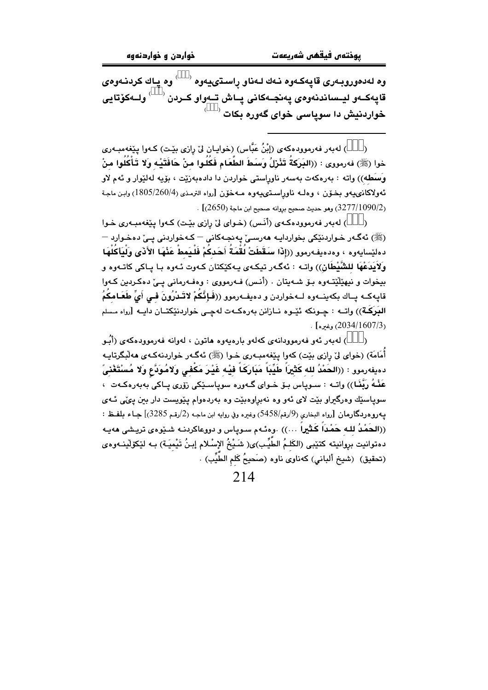وه لەدەوروبـەرى قاپەكـەوە نـەك لـەناو راسـڌىيـەوە <sup>(333)</sup> وە يـاك كردنـەوە*ى* قاپەكـەو ليـساندنەوەي پەنجـەكانى پـاش تـەواو كـردن <sup>(333)</sup> ولــەكۆتاي*ى*  $(333)$ خواردنيش دا سوياسي خواي گهوره بکات

) لەبەر فەرموودەكەي (إِبْنُ عَبَّاس) (خوايـان لِيْ رازى بِيْـت) كـەوا يِيْغەمبـەرى خوا (ﷺ) فەرمورى : ((البَرِكَةُ تَتْرْلُ وَسَطَ الطَّعَام فَكُلُوا منْ حَافَتَيْه وَلا تَأْكُلُوا منْ وَسَطْه)) واته : بەرەكەت بەسەر ناوراستى خواردن دا دادەبەزێت ، بۆيە لەلێوار و ئەم لاو ئەولاكانىميەو بخۆن ، وەلــە ناوراســتىميەوە مــەخۆن [رواه الترمـذى (4/1805/260) وابـن ماجـة . [2650/3277/1090/2] وهو حديث صحيح بروانه صحيح ابن ماجة (2650)] .

) لهبهر فهرموودهكهي (أَنَس) (خواي ليٌ رِازي بيِّت) كهوا پِيِّغهمبهري خوا  $\mathcal{E}$ (ﷺ) ئەگـەر خـواردنێکى بخواردايـە ھەرسـے ٘يەنچـەکانى – کـەخواردنى يـے ٘دەخـوارد – دهليّسايهوه ، وهدهيفهرموو ((إذا سَقَطَتْ لُقْمَةُ أَحَدكُمْ فَلْيَمطْ عَنْهَا الأَذَى وَلْيَأكُلْهَا وَلاَيدَعْهَا للشَّيْطَانِ)) واتـه : ئەگـەر تيكـەي پـەكێكتان كـەوت ئـەوە بـا پـاكى كاتـەوە و بيخوات و نيهێڵێتـهوه بـۆ شـهيتان . (أنـس) فـهرمووي : وهفـهرماني يـێ دهكـردين كـهوا قايەكــه يــاك بكەينــەوە لــەخواردن و دەيفــەرموو ((فَــإِنَّـكُمْ لاتَــدْرُونَ فــى أَىِّ طَعَـامكُمُ اللَّوَكَـة)) واتــه : حِـونكه ئَيْـوه نــازانن بهرهكــهت لهجــى خواردنێكتــان دايــه [رواه مـسلم  $(2034/1607/3)$ وغىرە]

) لەبەر ئەو فەرموودانەي كەلەو بارەپەوە ھاتون ، لەوانە فەرموودەكەي (أَبُـو  $\lambda$ أُمَامَة) (خواي ليّ رازي مِيّت) كهوا مِيّغهمبـهري خـوا (ﷺ) ئهگـهر خواردنهكـهي ههلْمگرتابـه دهيفهرموو : ((الحَمْدُ لله كَثْيَرَاً طَيِّبَاً مَبَارَكَاً فَيْه غَيْرَ مَكْفى وَلامُوَدَّع وَلا مُسْتَغْنىً عَذْهُ رَبَّغَا)) واتــه : سـویاس بـۆ خـوای گــهوره سویاسـێکی رۆری یـاکی بهبهرهکـهت ، سویاسێك وهرگیراو بێت لای ئهو وه نهبراوهبێت وه بهردهوام پێویست دار بین پئی ئـهی يــهـروهـردگـارمان [رواه البـخاري (9/رقم/5458) وغيره وفي روايه ابن ماجـه (2/رقـم 3285)] جـاء بلفـظ : ((الحَمْدُ لله حَمْدَاً كَثْيِراً …)) .وهنّـهم سـوياس و دووعاكردنـه شـێوهى تريـشى ههيـه دهتوانيت بروانيته كتيْبي (الكَلـمُ الطِّيِّب)ى( شَـيْـمُ الإسْـلام إبـنُ تَيْميَـة) بـه ليْكوّلْينـهوهى (تحقيق) (شيخ ألباني) كەناوي ناوە (صَحيحُ كَلم الطَّيِّبِ) .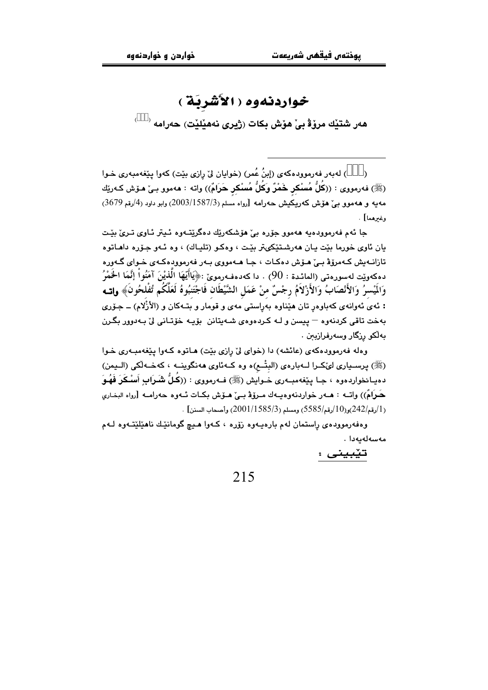### خواردنهوه ( الأَشْرِيَةُ )

هەر شتيْك مرۆۋ بى ْ هۆش بكات (ژيرى نەھيْليْت) حەرامە <sup>(333)</sup>

) لهبهر فهرموودهكهي (إبنُ عُمرٍ) (خوايان ليٌ رازي بيّتٍ) كهوا ييّغهمبهري خـوا  $\mathcal{E}$ (ﷺ) فه رمووى : ((كُلُّ مُسْكِرٍ خَمْرٌ وَكُلُّ مُسْكِرٍ حَرَامٌ)) واته : ههموو بـىٰ هـوْش كـه ريْك مەيە و ھەموو بى ھۆش كەريكيش حەرامە [رواه مسلم (1587/3/2003) وابو داود (4/رقم 3679) وغيرهما] .

جا ئەم فەرموودەپە ھەموو چۆرە يےؒ ھۆشكەرتك دەگرىتتەوە ئېتر ئاوي تېرىؒ بېت يان ئاوي خورما پٽت پان ههرشتٽکي تريٽت ۽ وهڪو (تلپاك) ۽ وه ئيهو جڏره داهاتو ه تازانــهيش كــهمروّة بــيّ هــوّش دهكــات ، جــا هــهمووي بــهر فـهرموودهكــهي خــواي گــهوره دهكهوٽت لهسوروتي (المائدة : 90) ، دا كهدهفورمويّ :﴿يَاأَيُّهَا الَّذِيْنَ آمَنُواْ إِنَّمَا الْخَمْرُ وَالَمْسِرُ وَالأَنْصَابُ وَالأَزْلاَمُ رجْسٌ منْ عَمَلِ الشَّيْطَانِ فَاجْتَنبُوهُ لَعَلَّكُم تُفْلحُونَ﴾ وإت : ئەي ئەوانەي كەباوەر تان ھێناوە بەراستى مەي و قومار و بتـەكان و (الأزْلام) ــ جۆرى بهخت تاقي کردنهوه – پيسن و لـه کـردهوهي شـهيتانن بۆيـه خۆتـانى ليّ بـهدوور بگـرن بەلكو رزگار وسەرفرازيىن .

وهله فهرموودهکهی (عائشه) دا (خوای لیّ رازی بیّت) هـاتوه کـهوا ییّغهمبـهری خـوا (ﷺ) يرسـياري ليُكـرا لــهبارهي (البتْــم)ه وه كــهئاوي ههنگوينــه ، كهخــهڵكي (الــيمن) دهيـانخواردهوه ، جـا پێغهمبــهری خــوايش (ﷺ) فــهرمووی : ((كُـلٌّ شَــرَابِ أَسْــكَرَ فَهُــوَ حَرَامٌ)) واتــه : هــهر خواردنهوهيــهك مــروّة بــيٌ هــوّش بكــات ئــهوه حهرامــه [رواه البخـاري . [/رقم/242)و(10/رقم/5585) ومسلم (2001/1585) وأصبحاب السنن] .

وهفهرموودهي راستمان لهم بارهيـهوه زۆره ، كـهوا هـيـچ گومانێك ناهێلێتـهوه لـهم مەسەلەيەدا .

تێبینی :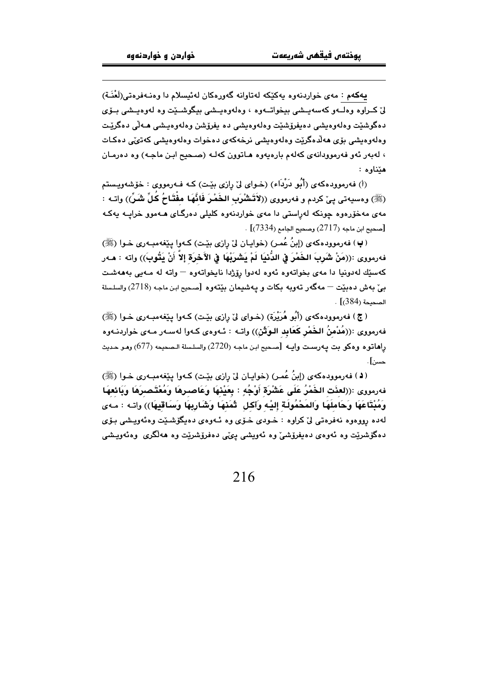بهکهم : مهي خواردنهوه بهکٽکه لهتاوانه گهورهکان لهئيسلام دا وهنـهفرهتي(لَعْنَـة) ليّ كيراوه وهلبهو كەسەبىشى بېخواتبەوه ، وەلەۋەبىشى بېگوشىٽت وە لەۋەبىشى بېۋى دهگوشٽت وهلەوەيشى دەبغرۆشٽت وەلەوەيشى دە بغرۆشن وەلەوەيىشى ھەلى دەگرێت وهلهومیشی یؤی هه لُدهگرٽت وهلهومیشی نرخه کهی دهخوات وهلهومیشی که تی پی دهکات ، لهبهر ئهو فهرموودانهى كهلهم بارهيهوه هاتوون كهله (صحيح ابن ماجه) وه دهرمان هێناوه:

(أ) فەرموودەكەي (أَبُو دَرْدَاء) (خـواي لِيّ رازي بِيّت) كـه فـەرمووي : خۆشەوپىستم (ﷺ) ومسيهتي بيِّ كردم و فهرمووي ((لاَتَشْرَبِ الخَمْرَ فَانَّهَا مِفْتَاحُ كُلِّ شَرِّ)) واتـه : مهي مهخوّرهوه جونکه لهراستي دا مهي خواردنهوه کليلي دهرگياي هيهموو خرابيه بهکه . [صحيح ابن ماجه (2717) وصحيح الجامع (7334)] .

(پ) فهرموودهکهي (إبنُ عُمر) (خوابان ليٌ رازي بيّت) کـهوا پيّغهمبـهري خـوا (ﷺ) فهرمووى :((مَنْ شَرِبَ الخَمْرَ فِي الدُّنْيَا لَمْ يَشْرَبْهَا فِي الآَخْرَة إِلاَّ أَنْ يَتُوبَ)) واته : مـهر كەسێك لەدونيا دا مەي بخواتەوە ئەوە لەدوا رۆژدا ناپخواتەوە – واتە لە مـەيى بەھەشت بے ٘ بهش دهبیّت — مهگهر تهویه بکات و پهشپیمان بیّتهو.ه [صبحیح ابن ماجه (2718) والسلسلة  $\cdot$  الصحيحة (384)]

(ج) فهرموودهکهي (أَبُو هُرَيْرَة) (خـواي ليٌ رِازِي بيِّت) کـهوا پيِّغهمبـهري خـوا (ﷺ) فهرمووى :((مُدْمِنُ الخُمْرِ كَعَابِدِ البوَثَنِ)) واتـه : ئـهوهى كـهوا لهسـهر مـهى خواردنـهوه راهاتوه وهكو بت يهرست وايـه [صحيح ابن ماجه (2720) والسلسلة الـصحيحه (677) وهـو حديث حسن] .

(4) فەرموودەكەي (إِبنُ عُمر) (خوايـان لِيّ رازى بِيّـت) كـەوا يِيْغەمبـەرى خـوا (ﷺ) فەرمورى :((لعنَت الخَمْرُ عَلَى عَشْرَة أَوْجُهٍ : بِعَيْنهَا وَعَاصـرِهَا وَمُعْتَـصـرَهَا وَبَائعهَا وَمُبْتَاعَهَا وَحَاملُهَا وَالمَحْمُولَةَ إليْه وَآكل ۖ ثَمَنْهَا وَشَارِبِهَا وَسَاقَيْهَا)) واتـه : مـهى لهده رووهوه نهفرهتي ليٌ كراوه : خـودي خـوّي وه ئـهوهي دهيگوشـێت وهئهويـشي بـوّي دەگۆشرێِت وە ئەوەى دەيفرۆشىٚ وە ئەويشى پىنى دەفرۆشرێِت وە ھەڵگرى وەئەويىشى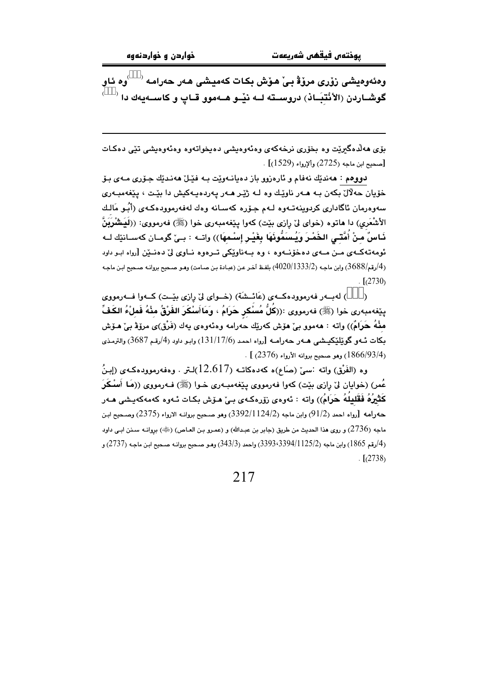وەئەوەيشى زۆرى مرۆۋ بى ْ ھۆش بكات كەميشى ھەر حەرامە <sup>(333</sup>وە ئاو گوشــاردن (الأنْتِبَـاذ) دروســته لــه نيْــو هــهموو قــاپ و كاســهيهك دا <sup>(333)</sup>

ېۆي مەلدەگىريت وە بخۆرى نرخەكەي وەئەوەيشى دەپخواتەوە وەئەوەيشى تێى دەكـات . [صحيح ابن ماجه (2725) وألإرواء (1529)]

دووهم : هەندێك نەڧام و ئارەزوو باز دەپانـەوێت بـه فێـلٌ هەنـدێك جـۆرى مـەي بـۆ خۆيان حەلال بكەن بـه ھـەر ناوێـك وه لـه ژێـر ھـەر پەردەپـەكيش دا بێـت ، پێغەمبـەرى سەوەرمان ئاگادارى كردوينەتــەوە لــەم جـۆرە كەسـانە وەك لەفەرموودەكــەى (أَبُــو مَالـك الأشْعَرِي) دا هاتوه (خواي ليّ رازي بێت) كهوا يێغهمبهري خوا (ﷺ) فهرمووي: ((لَيَنشْرَيَنُّ ذَاسٌ م<sup>َ</sup>نْ أُمَّتَـى الخَمْـرَ وَيُـس<sup>َمِّو</sup>ْفَهَا بِغَيْـر إِسْـمهَا)) واتــه : بــنْ گومــان كهسـانێك لــه ئومەتەكــەي مــن مــەي دەخۆنــەوە ، وە بــەناوێكى تــرەوە نــاوى لىٰ دەنــێن [رواە ابـو داود (4/رقم/3688) وابن ماجه (2/1333/2) بلفظ آخر عن (عبادة بن صامت) وهـو صـحيح بروانـه صـحيح ابـن ماجـه  $\frac{1}{2}$ [(2730)

) لهبسهر فهرموودهكبهي (عَائِيشَة) (خيواي ليٌ رازي بيِّيت) كيهوا فيهرمووي  $\lambda$ يێغەمبەرى خوا (ﷺ) فەرمورى :((كُلُّ مُسْكر حَرَامُ ، وَمَاأَسْكَرَ الفَرْقُ مِنْهُ فَمِلْءُ الكَفِّ ملْهُ حَرَامٌ)) واته : هەموو بيٌ هۆش كەرێك حەرامە وەئەوەي يەك (فَرْق)ى مرۆۋ بيٌ هـۆش بكات ئــهو گوێلێكيـشي هــهر حـهرامــه [رواه احمد (131/17/6) وابـو داود (4/رقـم 3687) والترمـذي  $(2376)$  وهو صحيح بروانه الأرواء (2376) .

وه (الفَرْق) واته :سيّ (صَاع)ه كهدهكاتـه (12.617)لـتر . وهفهرموودهكـهي (إِسِنُ عُمر) (خوابان ليِّ رازي ميّت) كهوا فهرمووي مِيّغهمبـهري خـوا (ﷺ) فـهرمووي ((مَا أَسْـكَرَ کَثْیرُهُ فَقَلِیلُهُ حَرَامُ)) واته : ئەوەي زۆرەکەي بے ٘هو٘ش بکات ئـەوە کەمەکەبـشى هـەر حەرامە [رواه احمد (91/2) وابن ماجە (3392/1124/2) وهو صبحيح بروانـه الارواء (2375) وصبحيح ابـن ماجه (2736) و روى هذا الحديث من طريق (جابر بن عبدالله) و (عمـرو بـن العـاص) (ﷺ) بروانـه سـنن ابـي داود (4/رقم 1865) وابن ماجه (3394/1125/2-3393) واحمد (343/3) وهـو صـحيح بروانـه صـحيح ابـن ماجـه (2737) و  $\lceil (2738) \rceil$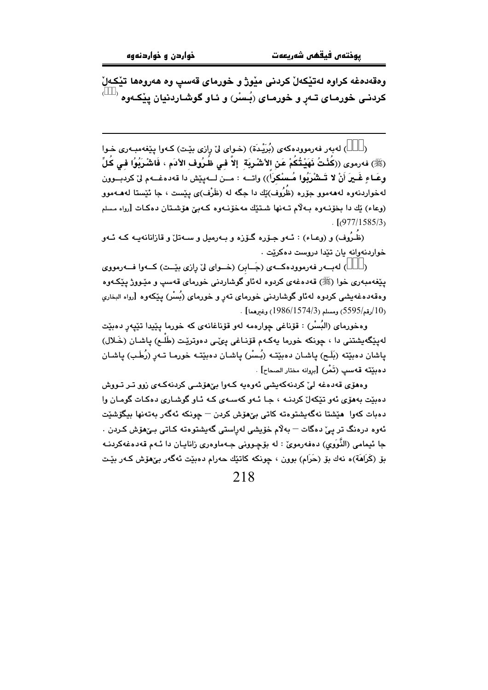وهقهدمغه كراوه لهتيكهلٌ كردنى ميْورْ و خورماى قەسپ وه هەروهما تيْكەلْ کردنـی خورمـای تـهڕ و خورمـای (بُـسْر) و ئـاو گوشـاردنيان يێِکـهوه

) لهبهر فهرموودهكهي (بُرَيْدة) (خـواي ليّ رازي بيّـت) كـهوا يێغهمبـهري خـوا  $\lambda$ (ﷺ) فەرموى ((كُنْتُ نَهَيْتُكُمْ عَنِ الأشْرِيَة ۚ إِلاَّ في ظُرُوف الأدَم ، فَاشْرَبُوْا في كُلِّ وعَـاءِ غَـيرَ أَنْ لا تَـشْرَبُوا مُـسْكراً)) واتــه : مــن لــهييّش دا قهدهغــهم ليّ كردبــوون لهخواردنهوه لهههموو جوّره (ظُرُوف)ێك دا جگه له (ظَرْف)ى پێست ، جا ئێستا لههــهموو (وعاء) بُك دا بخوّنهوه بهلاّم تـهنها شتيّك مهخوّنهوه كـهبيّ هوّشتان دهكـات [رواه مسلم  $\frac{1}{2}$ [(977/1585/3)

(ظُرُوف) و (وعـاء) : ئـهو جـۆره گـۆزه و بـهرميل و سـهتلٌ و قازانانهيـه كـه ئـهو خواردنهوانه يان تێدا دروست دهکرێت .

) لهبور فهرمووده که ی (جَابل) (خلوای لی رازی بیّت) که وا فهرمووی  $\rightarrow$ يێغەمبەرى خوا (ﷺ) قەدەغەي كردوە لەئاو گوشاردنى خورماي قەسپ و مێـووژ يێكـەوە وهقهدهغهیشی کردوه لهئاو گوشاردنی خورمای تهر و خورمای (بُسْر) بِپێکەوه [رواه البخاری . (10رقم/5595) ومسلم (1574/3/1986) وغيرهما] .

وهخورماي (البُسْر) : قۆناغي چوارەمه لەو قۆناغانەي كە خورما يێيدا تێيەر دەبێت لەيێگەيشتنى دا ، چونكە خورما يەكـەم قۆنـاغى يىِّـى دەوترێت (طَلْـم) ياشـان (خَـلال) یاشان دەپتتە (بَلَح) ياشان دەپتتە (بُسْر) ياشان دەپتتە خورما تـەر (رُطَب) ياشان دهبێته قهسپ (تَمْر) [بروانه مختار الصحاح] .

وهھوّی قەدەغە لیٌ کردنەکەيشى ئەوەبە كەول بےٌھوشى کردنەکەی زوق تىر تووش دهٽت پههري ئهو تٽکهل کردنـه ، جـا ئـهو کهسـهي کـه ئـاو گوشـاري دوکـات گومـان وا دەبات كەوا ھێشتا نەگەيشتوەتە كاتى بێھۆش كردن — چونكە ئەگەر بەتەنھا بيگۆشێت ئەوە درەنگ تر يے دەگات – بەلام خۆيشى لەراستى گەيشتوەتە كـاتى بـىْھۆش كـردن . جا ئيمامي (النُّوَوِي) دەڧەرموێ : لە بۆچوونى جـەماوەرى زانابـان دا ئـەم قەدەغەكردنـە بۆ (كَرَاهَة)ه نەك بۆ (حَرَام) بوون ، چونكە كاتێك حەرام دەبێت ئەگەر بێھۆش كـەر بێت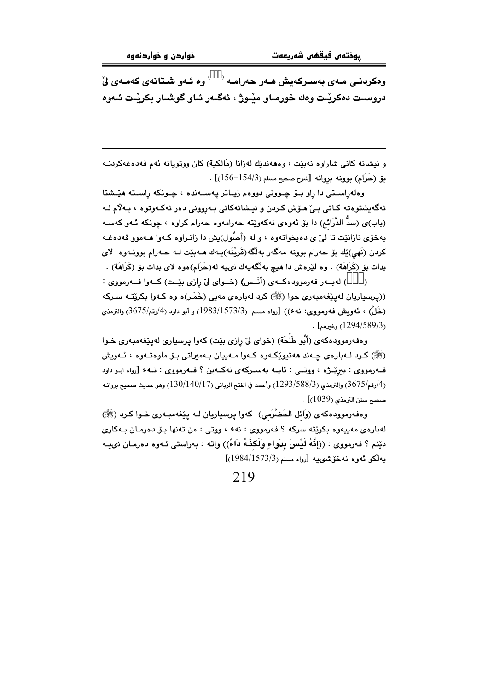وەكردنـى مـەي بەسـركەيش ھـەر حەرامـە <sup>(333)</sup> وە ئـەو شـتانەي كەمـەي ئ<sup>י</sup> دروست دەكريت وەك خورمـاو مێـوژ ، ئەگـەر ئـاو گوشـار بكريْـت ئـەوە

و نيشانه كاني شاراوه نهبيّت ، وهههنديّك لهزانا (مَالكية) كان ووتويانه ئهم قهدهغهكردنـه بق (حَرَام) بوونه بروانه [شرح صحيح مسلم (154/3-156)] .

وهلهراسىتى دا راو بىۆ چىوونى دووەم زيىاتر پەسىەندە ، چىونكە راسىتە ھێىشتا نەگەيشتوەتە كـاتى بـىٰ ھـۆش كـردن و نيـشانەكانى بـەروونى دەر نەكـەوتوە ، بـەلام لـە (باب)ي (سدٌ الذَّرَائم) دا بۆ ئەوەي نەكەوێتە حەرامەوە حەرام كراوە ، چونكە ئـەو كەسـە بهخوّی نازانێت تا ليّ ی ده پخواتهوه ، و له (أصُول)يش دا زانـراوه کـهوا هـهموو قهدهغـه کردن (نَهي)ێك بۆ حەرام بوونە مەگەر بەلگە(قَریْنَه)پـەك ھـەبێت لــه حـەرام بوونــەوە لای بدات بۆ (كَرَاهَة) . وه لێرەش دا هیچ بەلگەپەك نىپه لە(حَرَام)ەوە لاي بدات بۆ (كَرَاهَة) .

) لەبەر فەرموودەكــەي (أَنَــس) (خــواي ليّ رازى بِيّـت) كــەوا فــەرمووي :  $\lambda$ ((پرسپاریان لەيێغەمبەرى خوا (ﷺ) كرد لەبارەي مەبى (خَمَر)ە وە كـەوا بكرێتـە سـركە (خَلْ) ، ئەويش فەرمووى: نە¢)) [رواە مسلم (1573/3/3/3)] و أبو داود (4/رقم/3675) والترمذى . [1294/589/3] .

وهفهرموودهکهي (أُبُو طَلْحَة) (خواي لِيّ رازي بيّت) کهوا پرسپاري لهيٽغهمبهري خـوا (ﷺ) کردِ لـهبارهي چـهندِ ههتيوٽِکـهوهِ کـهواِ مـهبيانِ بـهمبراتي بـۆ ماوهتـهوه ، ئـهويش فــهرمووی : بیرێـژه ، ووتــی : ئایــه بهسـرکهی نهکــهین ؟ فــهرمووی : نــه۶ [رواه ابـو داود  $\mu$ لوقم/3675) والترمذي (3/588/3) رأحمد في الفتح الرباني (130/140/17) وهو حديث صحيح بروانـه ( مبحدج سنن الترمذي (1039)].

وهفهرموودهکهی (وَائل الحَضْرَمی) کهوا پرسپاریان لـه پێغهمبـهری خـوا کـرد (ﷺ) لهبارهي مهييهوه بکرێته سرکه ؟ فهرمووي : نهءَ ، ووتي : من تهنها بـۆ دەرمـان بـهکاري دێنم ؟ فەرمووى : ((إِنَّهُ لَيْسَ بِدَواءٍ وَلَكَنَّـهُ دَاءٌ)) واتـه : بەراستى ئـهوه دەرمـان نىيــه بەلكو ئەوە نەخۆشىمىيە [رواە مسلم(1573/3/4/1573)] .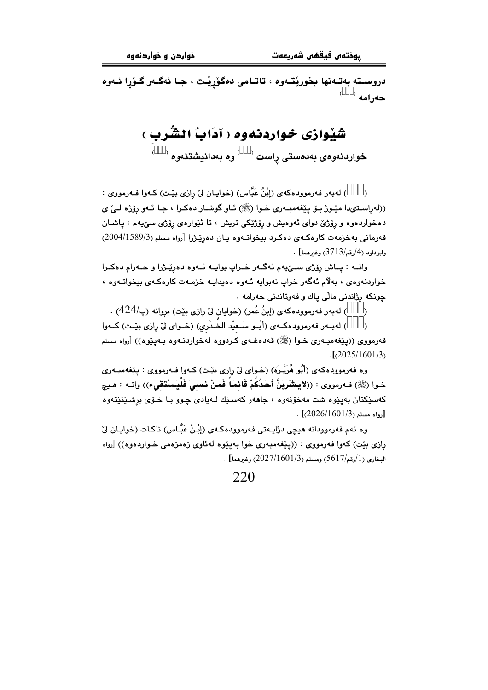دروسـته بەتـﻪنها بخورێتـﻪوه ، تاتـامى دەگۆرێـت ، جـا ئەگـﻪر گـۆرا ئـﻪوە  $^{(3\overset{\circ}{3}3)}$  حەرامە

> شَيْوازى خواردنەوە ( آدَابُ الشُّرب ) خواردنەوەي بەدەستى راست <sup>(333)</sup> وە بەدانيشتنەوە <sup>(333)</sup>

) لهبهر فهرموودهكهي (إِبْنُ عَبَّاس) (خوابـان ليّ رازي بيّـت) كـهوا فـهرمووي :  $\lambda$ ((لهراستیدا مێوژ بـۆ یێفهمبـهری خـوا (ﷺ) ئـاو گوشـار دهكـرا ، جـا ئـهو رۆژه لـیٌ ی دهخواردهوه و رۆژێ دوای ئەوەيش و رۆژێِکی تریش ، تا ئێوارەی رۆژی سێيەم ، ياشـان فەرمانى بەخزمەت كارەكەي دەكرد بېخواتـەوە يـان دەريّـژرا [رواه مسلم (2004/1589/3) وابوداود (4/رقم/3713) وغيرهما] .

واتــه : پــاش رِۆژى ســێيهم ئهگــهر خــراپ بوايــه ئــهوه دهرێــژرا و حــهرام دهكــرا خواردنهوهي ، بهلام ئهگهر خراب نهبوايه ئـهوه دهيدايـه خزمـهت كارهكـهي بيخواتـهوه ، چونکه رژاندنی مالّی ياك و فهوتاندنی حهرامه .

) له به ر فه رموود هکه ی (إبنُ عُمر) (خوایان ليّ رازی بێت) بروانه (پ $\left(424/\right)$  .  $\lambda$ 

) لهبـهر فهرموودهكـهى (أبُـو سَـعيْد الخَـدْري) (خـواى ليّ رازي بيّـت) كـهوا فەرمووى ((يێغەمبەرى خـوا (ﷺ) قەدەغـەي كـردووە لەخواردنـەوە بـەيێوە)) [رواە مـسلم  $\frac{1}{2}$ [ $\frac{2025}{1601/3}$ 

وه فهرموودهکهی (أَبُو هُرَيْـرَة) (خـوای ليّ رازی بێت) کـهوا فـهرمووی : پێغهمبـهری خـوا (ﷺ) فـه(مووى : ((لاَيَشْرَبَنَّ أَحَدُكُمْ قَائمَاً فَمَنْ نَسمِيَ فَلْيَسْتَقِيء)) واتـه : هـيچ کەسێکتان بەيێوە شت مەخۆنەوە ، جاھەر کەسىێك لـەيادى چـوو بـا خـۆى برشـێنێتەوە . [رواه مسلم (2026/1601/3).

وه ئهم فهرموودانه هيچي دژاپـهتي فهرموودهكـهي (إِبْـنُ عَبَّـاس) ناكـات (خواپـان لِيّ رازی بیّت) کهوا فهرمووی : ((ییّغهمبهری خوا بهییوه لهئاوی زهمزهمی خـواردهوه)) [رواه  $\sim$ البخاري (1/رقم/5617) ومسلم (2027/1601/3) وغيرهما] .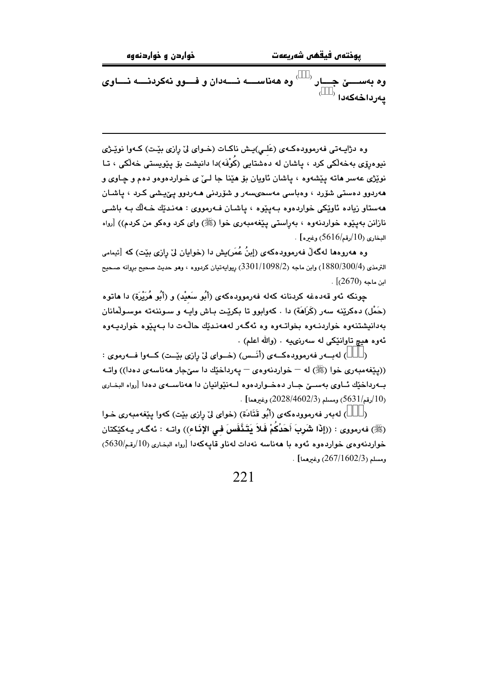ـێ جــــار <sup>(333)</sup> وه ههناســــه نـــــهدان و فــــوو نهکردنــــه نــــاوی وه بەس  $^{(333)}$  پەرداخەكەدا

وه دژاپــهتي فهرموودهكــهي (عَلــي)پــش ناكــات (خــواي ليّ رازي بێـت) كــهوا نوێـژي نیوهرۆی بەخەلکى کرد ، ياشان لە دەشتايى (كَوْفَه)دا دانیشت بۆ يێویستى خەلکى ، تـا نوێژي عهسر هاته پێشهوه ، پاشان ئاويان بۆ هێنا جا لـئ ي خـواردهوهو دهم و چـاوي و مەردوو دەستى شۆرد ، وەباسى مەسحىسەر و شۆردنى مـەردوو يـێيشى كـرد ، ياشـان مەستاو زيادە ئاوێکى خواردەوە بـەيێوە ، ياشـان فـەرمووى : ھەنـدێك خـﻪلَك بـﻪ باشـى نازانن بهینوه خواردنهوه ، بهراستی ینفهمبهری خوا (ﷺ) وای کرد وهکو من کردم)) [رواه البخاري (10/رقم/5616) وغيره] .

وه هەروەها لەگەلْ فەرموودەكەي (إبنُ عُمَر)يش دا (خوايان لىْ رازى بيْت) كە [ئيمامى الترمذي (380/300/4) وابن ماجه (3301/1098/2) ږيوايهتيان كردووه ، وهو حديث صحيح بږوانه صـحيح  $\cdot$   $(2670)$  ابن ماجه

جونکه ئهو قهدهغه کردنانه کهله فهرموودهکهی (أَبُو سَعيْد) و (أَبُو هُرَيْرَة) دا هاتوه (حَمْل) دەكرێنە سەر (كَرَامَة) دا . كەوابوو تا بكرێت بـاش واپـە و سـوننەتە موسـولْمانان بهدانیشتنهوه خواردنـهوه بخواتـهوه وه ئهگـهر لهههنـدێك حاڵـهت دا بـهیـێوه خواردیـهوه ئهوه هيچ تاوانٽِکي له سهرنيپه . (والله اعلم) .

) لەيسەر فەرموودەكسەي (أنسس) (خسواي ليْ رازي بِيْست) كسەوا فسەرموي :  $\lambda$ ((پێغهمبهري خوا (ﷺ) له – خواردنهوهي – پهرداخٽك دا سيِّجار ههناسهي دهدا)) واتـه بورداخيّك ئـاوى بهســيّ جـار دهخــواردهوه لــهنيّوانيان دا ههناســهى دهدا [رواه البخـارى  $\frac{10}{10}$ (قم/5631) ومسلم (2028/4602/3) وغيرهما $\left|10\right\rangle$ 

) لهبهر فهرموودهكهي (أَبُو قَتَادَة) (خواي ليِّ رازي بيّت) كهوا ييّغهمبهري خـوا  $\lambda$ (ﷺ) فەرمورى : ((إِذَا شَرِبَ أَحَدُكُمْ فَلاَ يَتَنَّفَسَ في الإِذَاء)) واتـه : ئەگـەر يـەكێكتان خواردنهو.وي خواردهوه ئهوه با ههناسه نهدات لهناو قابيهكهدا [رواه البخاري (10/رقم/5630) . ومسلم (267/1602/3) وغيرهما] .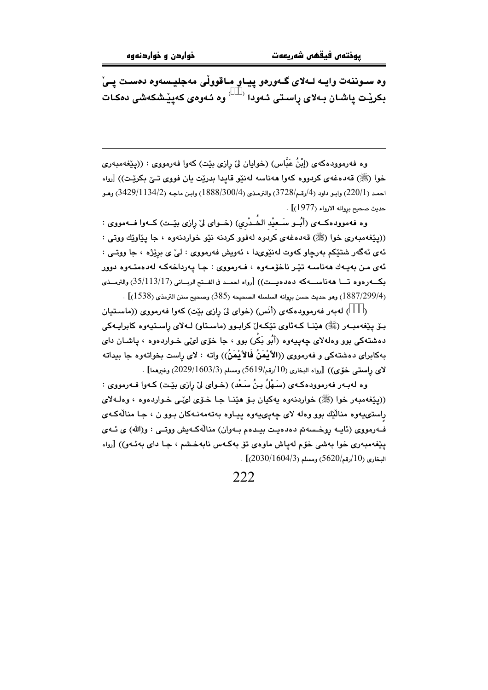وه سـوننهت وايـه لـهلاى گـهورهو پيـاو مـاقووڵى مهجليـسهوه دهسـت يـىْ .<br>بكرينت پاشـان بــهلاى راسـتى ئــهودا <sup>(333)</sup> وه ئــهوهى كـهيينشكهشى دمكـات

وه فەرموودەكەي (إِبْنُ عَبَّاس) (خوايان لِيْ رازى بِيْت) كەوا فەرمووى : ((يِيْغەمبەرى خوا (ﷺ) قەدەغەي كردووە كەوا ھەناسە لەنێو قايدا بدرێت يان فووى تـێ بكرێت)) [رواه احمد (220/1) وابـو داود (4/رقـم/3728) والترمـذي (300/4/1888) وابـن ماجـه (3429/1134/2) وهـو حديث صحيح بروانه الارواء (1977)] .

وه فهموودهكـهى (أُبُــو سَــعيْد الخَــدْري) (خــواى لىٰ رِازى بيْــت) كــهوا فــهمووى : ((پێغهمبهري خوا (ﷺ) قهدهغهي كردوه لهفوو كردنه نێو خواردنهوه ، جا پێاوێك ووتي : ئەي ئەگەر شتێكم بەرچاو كەوت لەنێوىدا ، ئەويش فەرمووى : ليْ ي برێژە ، جا ووتـي : ئەي مـن بەيـەك ھەناسـە تێـر ناخۆمـەوە ، فـەرمووى : جـا يەرداخەكـە لەدەمتـەوە دوور بكــهردود تسا ههناســهكه دهدهيــت)) [رواه احمـد فى الفـتح الربــاني (35/113/17) والترمــذى (1887/299/4) وهو حديث حسن بروانه السلسله الصحيحه (385) وصحيح سنن الترمذي (1538)] .

) لهبهر فهرموودهكهى (أَنَس) (خواى ليٌ رِازي بيّت) كهوا فهرمووى ((ماستيان  $\lambda$ بـۆ يـێغەمبـەر (ﷺ) هێنــا كـەئاوي تێكـەلٚ كرابـوو (ماسـتاو) لــەلاي راسـتيەوه كابرايـەكى دهشتهکی بوو وهلهلای چهیپهوه (أَبُو بَکْرٍ) بوو ، جا خوّی لئی خـواردهوه ، یاشـان دای بهكابراي دهشتهكي و فهرمووي ((الأنْمَنُ فَالأنْمَنُ)) وإنه : لاي راست بخواتهوه جا بيداته  $[2029/1603/3)$ لاي راستي خۆي)) [رواه البخاري (10/رقم/5619) ومسلم (3/003/1603) وغيرهما]

وه لهبـهر فهرموودهكـهي (سَـهْلُ بـِنُ سَـعْدِ) (خـواي ليّ رازي بيّـت) كـهوا فـهرمووي : ((پێغهمبهر خوا (ﷺ) خواردنهوه پهکيان بۆ هێنـا جـا خـۆى لىمّـى خـواردهوه ، وهلـهلاى راستۍيەوه منالّيّك بوو وەلە لاي چەپىھيەوە پياوە بەتەمەنىەكان بىوو ن ، جا منالّەكـەي ف1رمووي (ئاپــه روخـسهـتم دهدهيـت بيـدهـم بــهوان) منالّهكـهيش ووتــي : و(الله) ي ئــهي یێغەمبەری خوا بەشى خۆم لەياش ماوەی تۆ بەكـەس نابەخـشم ، جـا دای بەئـەو)) [رواه  $(2030/1604/3)$  البخاري (10/رقم/5620) .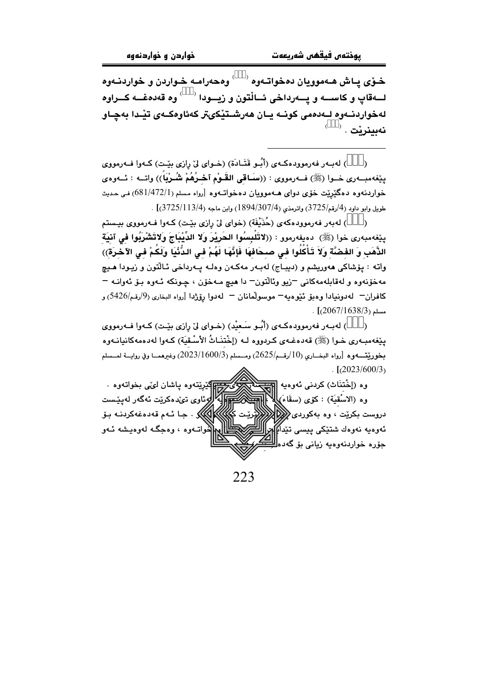خـۆي يـاش هـهموويان دەخواتـەوە <sup>(333)</sup> وەحەرامـه خـواردن و خواردنـەوە لـــهقاپ و كاســـه و يـــهرداخى ئـــالْتون و زيـــودا <sup>(333)</sup> وه قهد*ه*غــه كـــراوه لەخواردنــەوە لــەدەمى كونــە بــان ھەرشــتێكىتر كەئاوەكــەي تێــدا بەجــاو نەبينرٽت . <sup>(333)</sup>

) لهبـهر فهرموودهكـهى (أَبُـو قَتَـادَة) (خـواى ليّ رازى بيّـت) كـهوا فــهرمووى  $\lambda$ ينِغهمبــهري خــوا (ﷺ) فــهرمووي : ((سَــاقى القَــوْم آخــرُهُمْ شُــرْيَاً)) واتــه : ئــهوهي خواردنهوه دهگێرێت خۆی دوای هــهموویان دهخواتــهوه [رواه مـسلم (681/472/1) فـي حـديث  $(3725/113/4)$  طويل وابو داود (4/رقم/3725) واترمذي (3/307/4) وابن ماجه (3/3113/4)]

) لەبەر فەرموودەكەي (حُذَيْفَة) (خواي لِيْ رازى بِيْت) كـەوا فـەرمووى بيـستم ينِغهمبهري خوا (ﷺ) دەيفەرموو : ((لاتَلْبِسُوا الحَرِيْرَ وَلا الدِّيْبَاجَ وَلاتَشْرَبُوا في آنيَة الذَّهَبِ وَ الفَضَّةَ وَلاَ تَأْكُلُوا في صحافهَا فَإِنَّهَا لَهُمْ في الدُّنْيَا وَلَكُمْ في الآخرة)) واته : يۆشاكى ھەوريشم و (ديبــاج) لەبــەر مەكــەن وەلــە يــەرداخى ئــالنّون و زيـودا ھــيـچ مەخۆنەوە و لەقابلەمەكانى –زيو وئالتون– دا ھيچ مـەخۆن ، چـونكە ئـەوە بـۆ ئەوانـە – كافران— لەدونيادا وەبۆ ئێوەيە— موسولْمانان — لەدوا رۆژدا [رواه البخارى (9/رقم/5426) و  $\frac{1}{2}$ 067/1638/3) .

) لهبـهر فهرموودهكـهى (أَبُـو سَـعيْد) (خـواى ليّ رازى بيّـت) كـهوا فـهرمووى  $\lambda$ يێغەمبەرى خـوا (ﷺ) قەدەغـەي كـردووه لـه (إخْتنَـاثُ الأسْـقيَة) كـەوا لەدەمەكانيانـەوە بخوريِّتـــهوره [رواه البخــاري (10/رقـــم/2625) ومـــسلم (3/1600/2023) وغيرهمـــا وفي روايـــة لمـــسلم  $\frac{(2023/600/3)}{2}$ 

وه (إخْتنَاث) كردنى ئەوەيە <mark>ا<del>لىلى</del></mark> .<br><mark>q</mark>کێرێتەوە پاشان لىٽى بخواتەوە بالروئاوي تىدەكريت ئەگەر لەييست وه (الاسْقِيَة) : كَوْمِي (سقَاءَ) دروست بکرێت ، وه بهکوردی <mark>(ت</mark>لا) ئەوەيە نەوەك شتێكى ييسى تێدا)]تر خواتــهوه ، وهجگــه لهوهيـشه ئــهو جۆرە خواردنەوەبە زيانى بۆ گەدە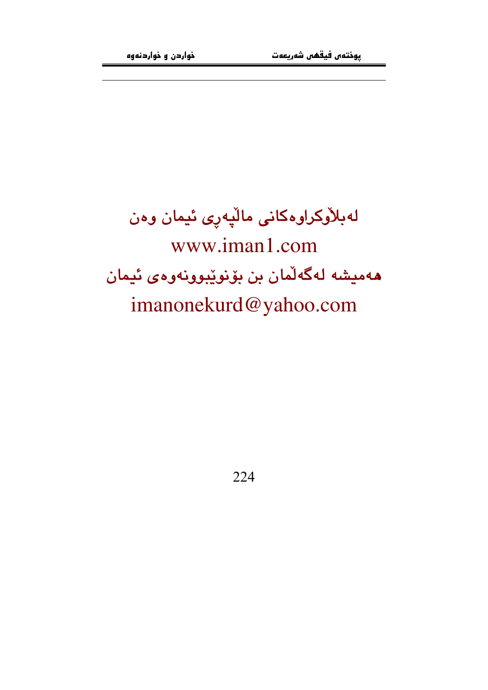لەبلاركراوەكانى ماليەرى ئيمان وەن www.iman1.com هەميشە لەگەلّمان بن بۆنوێبوونەوەي ئيمان imanonekurd@yahoo.com